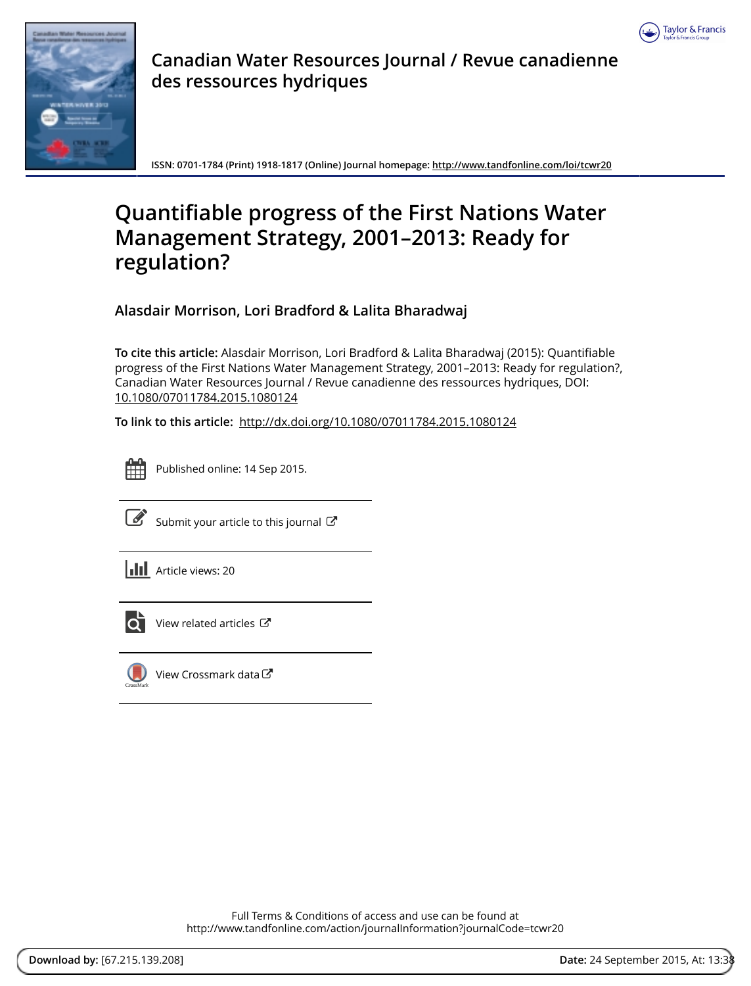



**Canadian Water Resources Journal / Revue canadienne des ressources hydriques**

**ISSN: 0701-1784 (Print) 1918-1817 (Online) Journal homepage:<http://www.tandfonline.com/loi/tcwr20>**

# **Quantifiable progress of the First Nations Water Management Strategy, 2001–2013: Ready for regulation?**

**Alasdair Morrison, Lori Bradford & Lalita Bharadwaj**

**To cite this article:** Alasdair Morrison, Lori Bradford & Lalita Bharadwaj (2015): Quantifiable progress of the First Nations Water Management Strategy, 2001–2013: Ready for regulation?, Canadian Water Resources Journal / Revue canadienne des ressources hydriques, DOI: [10.1080/07011784.2015.1080124](http://www.tandfonline.com/action/showCitFormats?doi=10.1080/07011784.2015.1080124)

**To link to this article:** <http://dx.doi.org/10.1080/07011784.2015.1080124>



Published online: 14 Sep 2015.



[Submit your article to this journal](http://www.tandfonline.com/action/authorSubmission?journalCode=tcwr20&page=instructions)  $\mathbb{Z}$ 





 $\overline{Q}$  [View related articles](http://www.tandfonline.com/doi/mlt/10.1080/07011784.2015.1080124)  $\mathbb{Z}$ 



[View Crossmark data](http://crossmark.crossref.org/dialog/?doi=10.1080/07011784.2015.1080124&domain=pdf&date_stamp=2015-09-14) $\sigma$ 

Full Terms & Conditions of access and use can be found at <http://www.tandfonline.com/action/journalInformation?journalCode=tcwr20>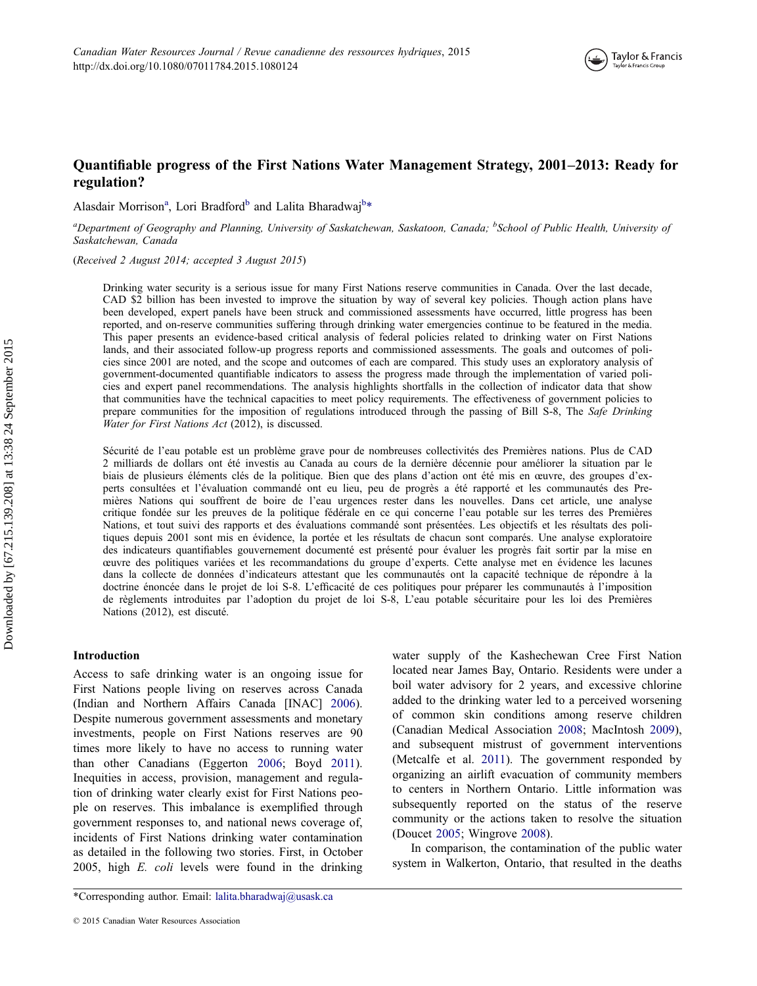# Quantifiable progress of the First Nations Water Management Strategy, 2001–2013: Ready for regulation?

Alasdair Morrison<sup>a</sup>, Lori Bradford<sup>b</sup> and Lalita Bharadwaj<sup>b</sup>\*

<sup>a</sup>Department of Geography and Planning, University of Saskatchewan, Saskatoon, Canada; <sup>b</sup>School of Public Health, University of Saskatchewan, Canada

(Received 2 August 2014; accepted 3 August 2015)

Drinking water security is a serious issue for many First Nations reserve communities in Canada. Over the last decade, CAD \$2 billion has been invested to improve the situation by way of several key policies. Though action plans have been developed, expert panels have been struck and commissioned assessments have occurred, little progress has been reported, and on-reserve communities suffering through drinking water emergencies continue to be featured in the media. This paper presents an evidence-based critical analysis of federal policies related to drinking water on First Nations lands, and their associated follow-up progress reports and commissioned assessments. The goals and outcomes of policies since 2001 are noted, and the scope and outcomes of each are compared. This study uses an exploratory analysis of government-documented quantifiable indicators to assess the progress made through the implementation of varied policies and expert panel recommendations. The analysis highlights shortfalls in the collection of indicator data that show that communities have the technical capacities to meet policy requirements. The effectiveness of government policies to prepare communities for the imposition of regulations introduced through the passing of Bill S-8, The Safe Drinking Water for First Nations Act (2012), is discussed.

Sécurité de l'eau potable est un problème grave pour de nombreuses collectivités des Premières nations. Plus de CAD 2 milliards de dollars ont été investis au Canada au cours de la dernière décennie pour améliorer la situation par le biais de plusieurs éléments clés de la politique. Bien que des plans d'action ont été mis en œuvre, des groupes d'experts consultées et l'évaluation commandé ont eu lieu, peu de progrès a été rapporté et les communautés des Premières Nations qui souffrent de boire de l'eau urgences rester dans les nouvelles. Dans cet article, une analyse critique fondée sur les preuves de la politique fédérale en ce qui concerne l'eau potable sur les terres des Premières Nations, et tout suivi des rapports et des évaluations commandé sont présentées. Les objectifs et les résultats des politiques depuis 2001 sont mis en évidence, la portée et les résultats de chacun sont comparés. Une analyse exploratoire des indicateurs quantifiables gouvernement documenté est présenté pour évaluer les progrès fait sortir par la mise en œuvre des politiques variées et les recommandations du groupe d'experts. Cette analyse met en évidence les lacunes dans la collecte de données d'indicateurs attestant que les communautés ont la capacité technique de répondre à la doctrine énoncée dans le projet de loi S-8. L'efficacité de ces politiques pour préparer les communautés à l'imposition de règlements introduites par l'adoption du projet de loi S-8, L'eau potable sécuritaire pour les loi des Premières Nations (2012), est discuté.

# Introduction

Access to safe drinking water is an ongoing issue for First Nations people living on reserves across Canada (Indian and Northern Affairs Canada [INAC] [2006](#page-20-0)). Despite numerous government assessments and monetary investments, people on First Nations reserves are 90 times more likely to have no access to running water than other Canadians (Eggerton [2006](#page-19-0); Boyd [2011](#page-19-0)). Inequities in access, provision, management and regulation of drinking water clearly exist for First Nations people on reserves. This imbalance is exemplified through government responses to, and national news coverage of, incidents of First Nations drinking water contamination as detailed in the following two stories. First, in October 2005, high E. coli levels were found in the drinking

water supply of the Kashechewan Cree First Nation located near James Bay, Ontario. Residents were under a boil water advisory for 2 years, and excessive chlorine added to the drinking water led to a perceived worsening of common skin conditions among reserve children (Canadian Medical Association [2008](#page-19-0); MacIntosh [2009](#page-20-0)), and subsequent mistrust of government interventions (Metcalfe et al. [2011](#page-20-0)). The government responded by organizing an airlift evacuation of community members to centers in Northern Ontario. Little information was subsequently reported on the status of the reserve community or the actions taken to resolve the situation (Doucet [2005](#page-19-0); Wingrove [2008\)](#page-21-0).

In comparison, the contamination of the public water system in Walkerton, Ontario, that resulted in the deaths

<sup>\*</sup>Corresponding author. Email: [lalita.bharadwaj@usask.ca](mailto:lalita.bharadwaj@usask.ca)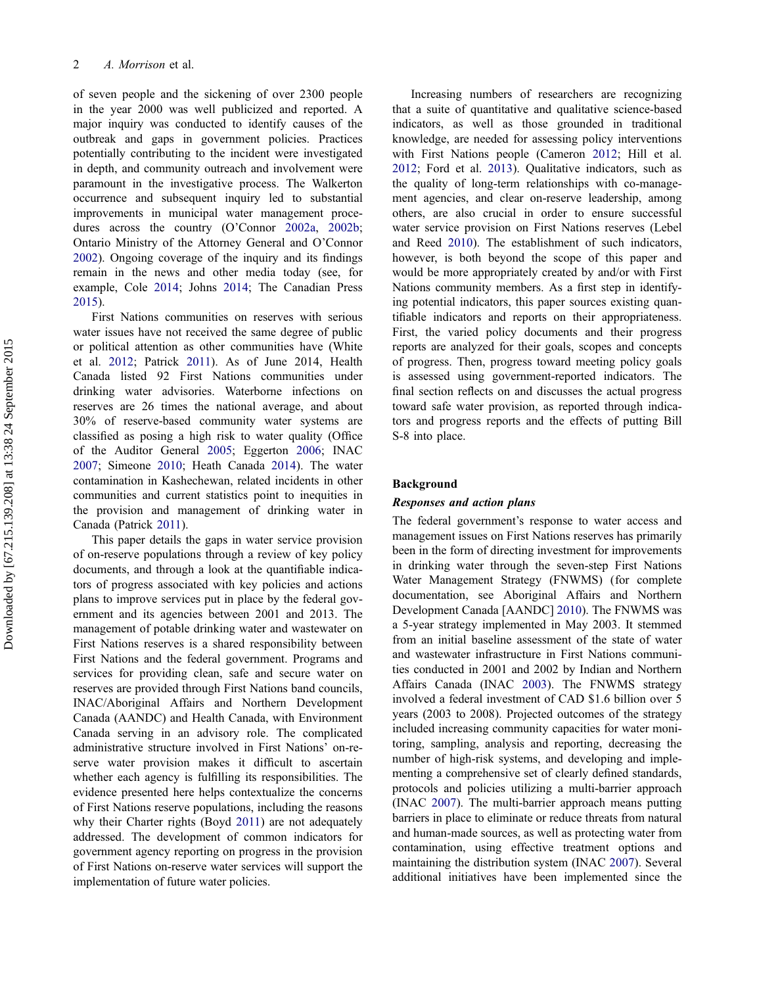of seven people and the sickening of over 2300 people in the year 2000 was well publicized and reported. A major inquiry was conducted to identify causes of the outbreak and gaps in government policies. Practices potentially contributing to the incident were investigated in depth, and community outreach and involvement were paramount in the investigative process. The Walkerton occurrence and subsequent inquiry led to substantial improvements in municipal water management procedures across the country (O'Connor [2002a](#page-20-0), [2002b](#page-20-0); Ontario Ministry of the Attorney General and O'Connor [2002\)](#page-21-0). Ongoing coverage of the inquiry and its findings remain in the news and other media today (see, for example, Cole [2014](#page-19-0); Johns [2014](#page-20-0); The Canadian Press [2015\)](#page-19-0).

First Nations communities on reserves with serious water issues have not received the same degree of public or political attention as other communities have (White et al. [2012;](#page-21-0) Patrick [2011\)](#page-21-0). As of June 2014, Health Canada listed 92 First Nations communities under drinking water advisories. Waterborne infections on reserves are 26 times the national average, and about 30% of reserve-based community water systems are classified as posing a high risk to water quality (Office of the Auditor General [2005;](#page-20-0) Eggerton [2006;](#page-19-0) INAC [2007;](#page-20-0) Simeone [2010;](#page-21-0) Heath Canada [2014\)](#page-19-0). The water contamination in Kashechewan, related incidents in other communities and current statistics point to inequities in the provision and management of drinking water in Canada (Patrick [2011](#page-21-0)).

This paper details the gaps in water service provision of on-reserve populations through a review of key policy documents, and through a look at the quantifiable indicators of progress associated with key policies and actions plans to improve services put in place by the federal government and its agencies between 2001 and 2013. The management of potable drinking water and wastewater on First Nations reserves is a shared responsibility between First Nations and the federal government. Programs and services for providing clean, safe and secure water on reserves are provided through First Nations band councils, INAC/Aboriginal Affairs and Northern Development Canada (AANDC) and Health Canada, with Environment Canada serving in an advisory role. The complicated administrative structure involved in First Nations' on-reserve water provision makes it difficult to ascertain whether each agency is fulfilling its responsibilities. The evidence presented here helps contextualize the concerns of First Nations reserve populations, including the reasons why their Charter rights (Boyd [2011\)](#page-19-0) are not adequately addressed. The development of common indicators for government agency reporting on progress in the provision of First Nations on-reserve water services will support the implementation of future water policies.

Increasing numbers of researchers are recognizing that a suite of quantitative and qualitative science-based indicators, as well as those grounded in traditional knowledge, are needed for assessing policy interventions with First Nations people (Cameron [2012](#page-19-0); Hill et al. [2012;](#page-19-0) Ford et al. [2013\)](#page-19-0). Qualitative indicators, such as the quality of long-term relationships with co-management agencies, and clear on-reserve leadership, among others, are also crucial in order to ensure successful water service provision on First Nations reserves (Lebel and Reed [2010\)](#page-20-0). The establishment of such indicators, however, is both beyond the scope of this paper and would be more appropriately created by and/or with First Nations community members. As a first step in identifying potential indicators, this paper sources existing quantifiable indicators and reports on their appropriateness. First, the varied policy documents and their progress reports are analyzed for their goals, scopes and concepts of progress. Then, progress toward meeting policy goals is assessed using government-reported indicators. The final section reflects on and discusses the actual progress toward safe water provision, as reported through indicators and progress reports and the effects of putting Bill S-8 into place.

# Background

#### Responses and action plans

The federal government's response to water access and management issues on First Nations reserves has primarily been in the form of directing investment for improvements in drinking water through the seven-step First Nations Water Management Strategy (FNWMS) (for complete documentation, see Aboriginal Affairs and Northern Development Canada [AANDC] [2010\)](#page-18-0). The FNWMS was a 5-year strategy implemented in May 2003. It stemmed from an initial baseline assessment of the state of water and wastewater infrastructure in First Nations communities conducted in 2001 and 2002 by Indian and Northern Affairs Canada (INAC [2003\)](#page-20-0). The FNWMS strategy involved a federal investment of CAD \$1.6 billion over 5 years (2003 to 2008). Projected outcomes of the strategy included increasing community capacities for water monitoring, sampling, analysis and reporting, decreasing the number of high-risk systems, and developing and implementing a comprehensive set of clearly defined standards, protocols and policies utilizing a multi-barrier approach (INAC [2007\)](#page-20-0). The multi-barrier approach means putting barriers in place to eliminate or reduce threats from natural and human-made sources, as well as protecting water from contamination, using effective treatment options and maintaining the distribution system (INAC [2007\)](#page-20-0). Several additional initiatives have been implemented since the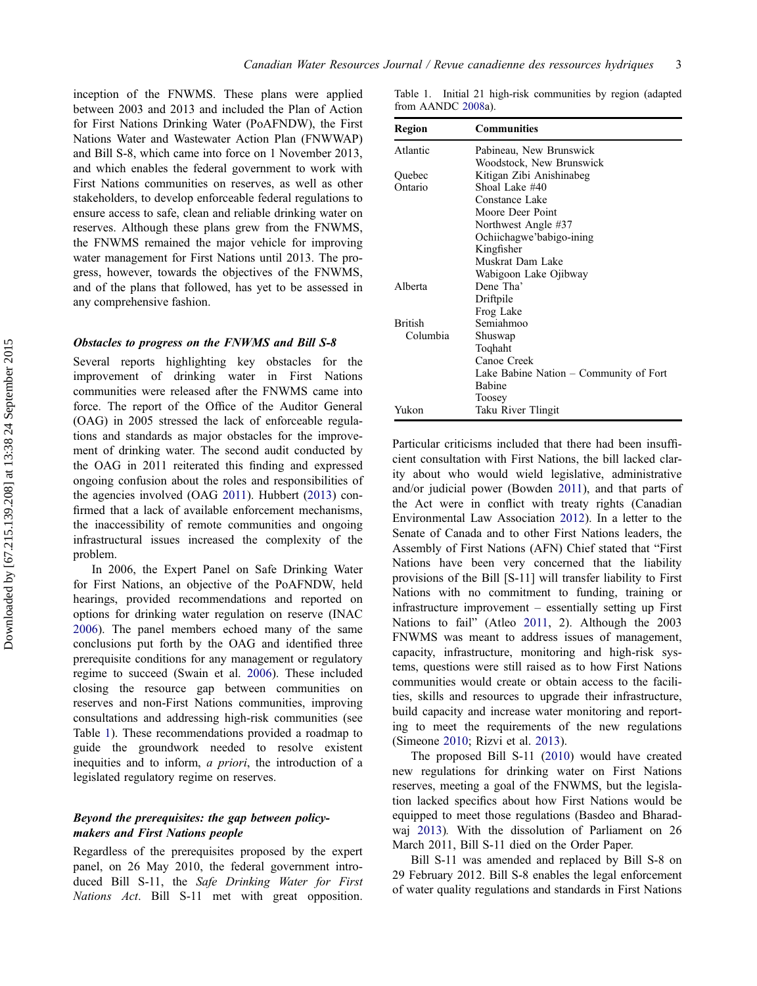<span id="page-3-0"></span>inception of the FNWMS. These plans were applied between 2003 and 2013 and included the Plan of Action for First Nations Drinking Water (PoAFNDW), the First Nations Water and Wastewater Action Plan (FNWWAP) and Bill S-8, which came into force on 1 November 2013, and which enables the federal government to work with First Nations communities on reserves, as well as other stakeholders, to develop enforceable federal regulations to ensure access to safe, clean and reliable drinking water on reserves. Although these plans grew from the FNWMS, the FNWMS remained the major vehicle for improving water management for First Nations until 2013. The progress, however, towards the objectives of the FNWMS, and of the plans that followed, has yet to be assessed in any comprehensive fashion.

## Obstacles to progress on the FNWMS and Bill S-8

Several reports highlighting key obstacles for the improvement of drinking water in First Nations communities were released after the FNWMS came into force. The report of the Office of the Auditor General (OAG) in 2005 stressed the lack of enforceable regulations and standards as major obstacles for the improvement of drinking water. The second audit conducted by the OAG in 2011 reiterated this finding and expressed ongoing confusion about the roles and responsibilities of the agencies involved (OAG [2011\)](#page-20-0). Hubbert ([2013\)](#page-20-0) confirmed that a lack of available enforcement mechanisms, the inaccessibility of remote communities and ongoing infrastructural issues increased the complexity of the problem.

In 2006, the Expert Panel on Safe Drinking Water for First Nations, an objective of the PoAFNDW, held hearings, provided recommendations and reported on options for drinking water regulation on reserve (INAC [2006\)](#page-20-0). The panel members echoed many of the same conclusions put forth by the OAG and identified three prerequisite conditions for any management or regulatory regime to succeed (Swain et al. [2006\)](#page-21-0). These included closing the resource gap between communities on reserves and non-First Nations communities, improving consultations and addressing high-risk communities (see Table 1). These recommendations provided a roadmap to guide the groundwork needed to resolve existent inequities and to inform, a priori, the introduction of a legislated regulatory regime on reserves.

# Beyond the prerequisites: the gap between policymakers and First Nations people

Regardless of the prerequisites proposed by the expert panel, on 26 May 2010, the federal government introduced Bill S-11, the Safe Drinking Water for First Nations Act. Bill S-11 met with great opposition.

Table 1. Initial 21 high-risk communities by region (adapted from AANDC [2008](#page-18-0)a).

| Region         | <b>Communities</b>                     |
|----------------|----------------------------------------|
| Atlantic       | Pabineau, New Brunswick                |
|                | Woodstock, New Brunswick               |
| Quebec         | Kitigan Zibi Anishinabeg               |
| Ontario        | Shoal Lake #40                         |
|                | Constance Lake                         |
|                | Moore Deer Point                       |
|                | Northwest Angle #37                    |
|                | Ochiichagwe'babigo-ining               |
|                | Kingfisher                             |
|                | Muskrat Dam Lake                       |
|                | Wabigoon Lake Ojibway                  |
| Alberta        | Dene Tha'                              |
|                | Driftpile                              |
|                | Frog Lake                              |
| <b>British</b> | Semiahmoo                              |
| Columbia       | Shuswap                                |
|                | Toghaht                                |
|                | Canoe Creek                            |
|                | Lake Babine Nation – Community of Fort |
|                | Babine                                 |
|                | Toosey                                 |
| Yukon          | Taku River Tlingit                     |

Particular criticisms included that there had been insufficient consultation with First Nations, the bill lacked clarity about who would wield legislative, administrative and/or judicial power (Bowden [2011](#page-19-0)), and that parts of the Act were in conflict with treaty rights (Canadian Environmental Law Association [2012](#page-19-0)). In a letter to the Senate of Canada and to other First Nations leaders, the Assembly of First Nations (AFN) Chief stated that "First Nations have been very concerned that the liability provisions of the Bill [S-11] will transfer liability to First Nations with no commitment to funding, training or infrastructure improvement – essentially setting up First Nations to fail" (Atleo [2011](#page-18-0), 2). Although the 2003 FNWMS was meant to address issues of management, capacity, infrastructure, monitoring and high-risk systems, questions were still raised as to how First Nations communities would create or obtain access to the facilities, skills and resources to upgrade their infrastructure, build capacity and increase water monitoring and reporting to meet the requirements of the new regulations (Simeone [2010](#page-21-0); Rizvi et al. [2013](#page-21-0)).

The proposed Bill S-11 [\(2010\)](#page-18-0) would have created new regulations for drinking water on First Nations reserves, meeting a goal of the FNWMS, but the legislation lacked specifics about how First Nations would be equipped to meet those regulations (Basdeo and Bharadwaj [2013](#page-18-0)). With the dissolution of Parliament on 26 March 2011, Bill S-11 died on the Order Paper.

Bill S-11 was amended and replaced by Bill S-8 on 29 February 2012. Bill S-8 enables the legal enforcement of water quality regulations and standards in First Nations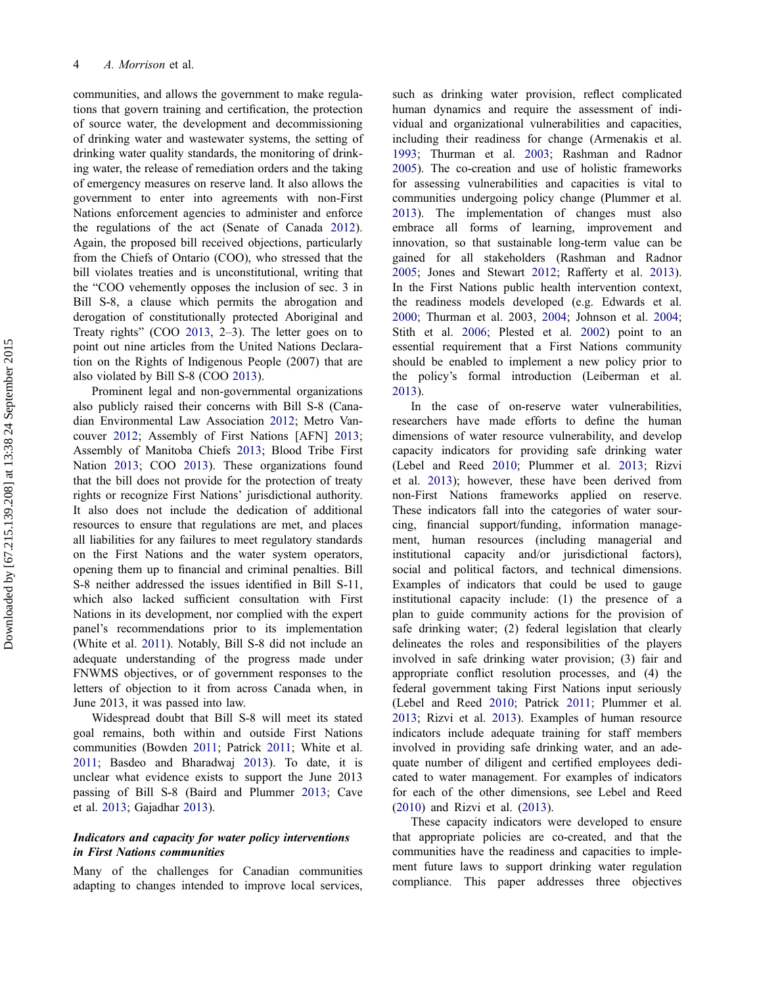communities, and allows the government to make regulations that govern training and certification, the protection of source water, the development and decommissioning of drinking water and wastewater systems, the setting of drinking water quality standards, the monitoring of drinking water, the release of remediation orders and the taking of emergency measures on reserve land. It also allows the government to enter into agreements with non-First Nations enforcement agencies to administer and enforce the regulations of the act (Senate of Canada [2012](#page-21-0)). Again, the proposed bill received objections, particularly from the Chiefs of Ontario (COO), who stressed that the bill violates treaties and is unconstitutional, writing that the "COO vehemently opposes the inclusion of sec. 3 in Bill S-8, a clause which permits the abrogation and derogation of constitutionally protected Aboriginal and Treaty rights" (COO [2013](#page-19-0), 2–3). The letter goes on to point out nine articles from the United Nations Declaration on the Rights of Indigenous People (2007) that are also violated by Bill S-8 (COO [2013](#page-19-0)).

Prominent legal and non-governmental organizations also publicly raised their concerns with Bill S-8 (Canadian Environmental Law Association [2012](#page-19-0); Metro Vancouver [2012](#page-20-0); Assembly of First Nations [AFN] [2013](#page-18-0); Assembly of Manitoba Chiefs [2013;](#page-18-0) Blood Tribe First Nation [2013](#page-18-0); COO [2013\)](#page-19-0). These organizations found that the bill does not provide for the protection of treaty rights or recognize First Nations' jurisdictional authority. It also does not include the dedication of additional resources to ensure that regulations are met, and places all liabilities for any failures to meet regulatory standards on the First Nations and the water system operators, opening them up to financial and criminal penalties. Bill S-8 neither addressed the issues identified in Bill S-11, which also lacked sufficient consultation with First Nations in its development, nor complied with the expert panel's recommendations prior to its implementation (White et al. [2011\)](#page-21-0). Notably, Bill S-8 did not include an adequate understanding of the progress made under FNWMS objectives, or of government responses to the letters of objection to it from across Canada when, in June 2013, it was passed into law.

Widespread doubt that Bill S-8 will meet its stated goal remains, both within and outside First Nations communities (Bowden [2011](#page-19-0); Patrick [2011;](#page-21-0) White et al. [2011;](#page-21-0) Basdeo and Bharadwaj [2013](#page-18-0)). To date, it is unclear what evidence exists to support the June 2013 passing of Bill S-8 (Baird and Plummer [2013;](#page-18-0) Cave et al. [2013](#page-19-0); Gajadhar [2013\)](#page-19-0).

# Indicators and capacity for water policy interventions in First Nations communities

Many of the challenges for Canadian communities adapting to changes intended to improve local services,

such as drinking water provision, reflect complicated human dynamics and require the assessment of individual and organizational vulnerabilities and capacities, including their readiness for change (Armenakis et al. [1993;](#page-18-0) Thurman et al. [2003;](#page-21-0) Rashman and Radnor [2005\)](#page-21-0). The co-creation and use of holistic frameworks for assessing vulnerabilities and capacities is vital to communities undergoing policy change (Plummer et al. [2013\)](#page-21-0). The implementation of changes must also embrace all forms of learning, improvement and innovation, so that sustainable long-term value can be gained for all stakeholders (Rashman and Radnor [2005;](#page-21-0) Jones and Stewart [2012](#page-20-0); Rafferty et al. [2013](#page-21-0)). In the First Nations public health intervention context, the readiness models developed (e.g. Edwards et al. [2000;](#page-19-0) Thurman et al. 2003, [2004](#page-21-0); Johnson et al. [2004](#page-20-0); Stith et al. [2006](#page-21-0); Plested et al. [2002\)](#page-21-0) point to an essential requirement that a First Nations community should be enabled to implement a new policy prior to the policy's formal introduction (Leiberman et al. [2013\)](#page-20-0).

In the case of on-reserve water vulnerabilities, researchers have made efforts to define the human dimensions of water resource vulnerability, and develop capacity indicators for providing safe drinking water (Lebel and Reed [2010](#page-20-0); Plummer et al. [2013](#page-21-0); Rizvi et al. [2013\)](#page-21-0); however, these have been derived from non-First Nations frameworks applied on reserve. These indicators fall into the categories of water sourcing, financial support/funding, information management, human resources (including managerial and institutional capacity and/or jurisdictional factors), social and political factors, and technical dimensions. Examples of indicators that could be used to gauge institutional capacity include: (1) the presence of a plan to guide community actions for the provision of safe drinking water; (2) federal legislation that clearly delineates the roles and responsibilities of the players involved in safe drinking water provision; (3) fair and appropriate conflict resolution processes, and (4) the federal government taking First Nations input seriously (Lebel and Reed [2010;](#page-20-0) Patrick [2011;](#page-21-0) Plummer et al. [2013;](#page-21-0) Rizvi et al. [2013](#page-21-0)). Examples of human resource indicators include adequate training for staff members involved in providing safe drinking water, and an adequate number of diligent and certified employees dedicated to water management. For examples of indicators for each of the other dimensions, see Lebel and Reed [\(2010](#page-20-0)) and Rizvi et al. [\(2013](#page-21-0)).

These capacity indicators were developed to ensure that appropriate policies are co-created, and that the communities have the readiness and capacities to implement future laws to support drinking water regulation compliance. This paper addresses three objectives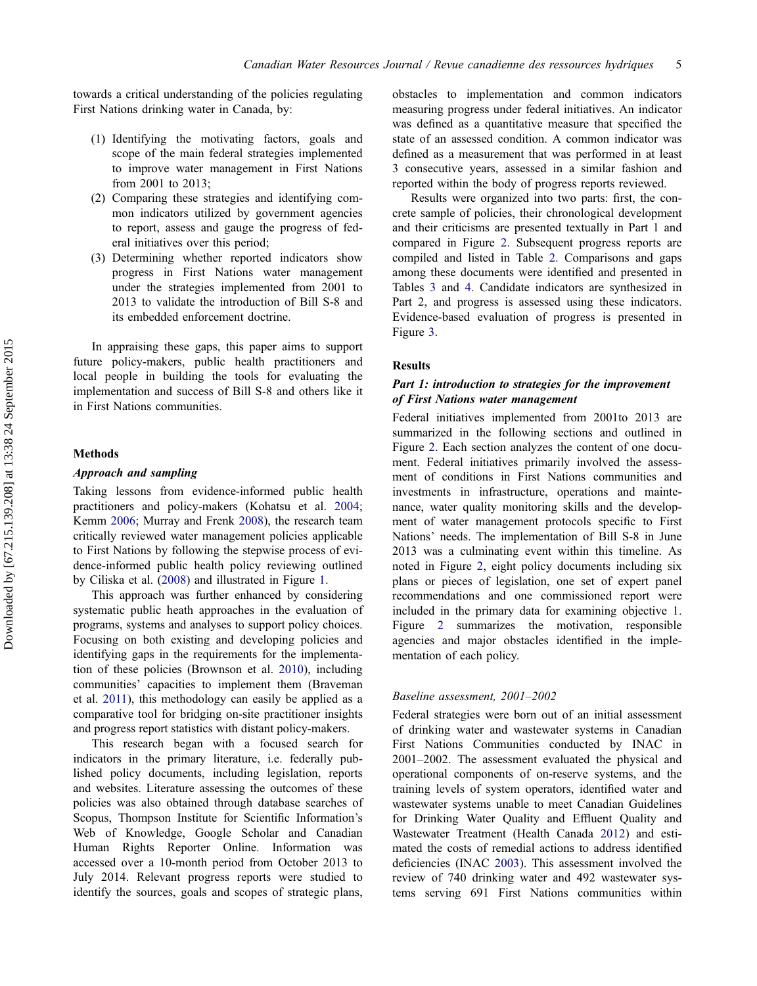towards a critical understanding of the policies regulating First Nations drinking water in Canada, by:

- (1) Identifying the motivating factors, goals and scope of the main federal strategies implemented to improve water management in First Nations from 2001 to 2013;
- (2) Comparing these strategies and identifying common indicators utilized by government agencies to report, assess and gauge the progress of federal initiatives over this period;
- (3) Determining whether reported indicators show progress in First Nations water management under the strategies implemented from 2001 to 2013 to validate the introduction of Bill S-8 and its embedded enforcement doctrine.

In appraising these gaps, this paper aims to support future policy-makers, public health practitioners and local people in building the tools for evaluating the implementation and success of Bill S-8 and others like it in First Nations communities.

#### **Methods**

#### Approach and sampling

Taking lessons from evidence-informed public health practitioners and policy-makers (Kohatsu et al. [2004](#page-20-0); Kemm [2006](#page-20-0); Murray and Frenk [2008](#page-20-0)), the research team critically reviewed water management policies applicable to First Nations by following the stepwise process of evidence-informed public health policy reviewing outlined by Ciliska et al. [\(2008](#page-19-0)) and illustrated in Figure [1.](#page-6-0)

This approach was further enhanced by considering systematic public heath approaches in the evaluation of programs, systems and analyses to support policy choices. Focusing on both existing and developing policies and identifying gaps in the requirements for the implementation of these policies (Brownson et al. [2010\)](#page-19-0), including communities' capacities to implement them (Braveman et al. [2011\)](#page-19-0), this methodology can easily be applied as a comparative tool for bridging on-site practitioner insights and progress report statistics with distant policy-makers.

This research began with a focused search for indicators in the primary literature, i.e. federally published policy documents, including legislation, reports and websites. Literature assessing the outcomes of these policies was also obtained through database searches of Scopus, Thompson Institute for Scientific Information's Web of Knowledge, Google Scholar and Canadian Human Rights Reporter Online. Information was accessed over a 10-month period from October 2013 to July 2014. Relevant progress reports were studied to identify the sources, goals and scopes of strategic plans, obstacles to implementation and common indicators measuring progress under federal initiatives. An indicator was defined as a quantitative measure that specified the state of an assessed condition. A common indicator was defined as a measurement that was performed in at least 3 consecutive years, assessed in a similar fashion and reported within the body of progress reports reviewed.

Results were organized into two parts: first, the concrete sample of policies, their chronological development and their criticisms are presented textually in Part 1 and compared in Figure [2](#page-7-0). Subsequent progress reports are compiled and listed in Table [2](#page-7-0). Comparisons and gaps among these documents were identified and presented in Tables [3](#page-8-0) and [4](#page-9-0). Candidate indicators are synthesized in Part 2, and progress is assessed using these indicators. Evidence-based evaluation of progress is presented in Figure [3](#page-11-0).

#### Results

# Part 1: introduction to strategies for the improvement of First Nations water management

Federal initiatives implemented from 2001to 2013 are summarized in the following sections and outlined in Figure [2](#page-7-0). Each section analyzes the content of one document. Federal initiatives primarily involved the assessment of conditions in First Nations communities and investments in infrastructure, operations and maintenance, water quality monitoring skills and the development of water management protocols specific to First Nations' needs. The implementation of Bill S-8 in June 2013 was a culminating event within this timeline. As noted in Figure [2](#page-7-0), eight policy documents including six plans or pieces of legislation, one set of expert panel recommendations and one commissioned report were included in the primary data for examining objective 1. Figure [2](#page-7-0) summarizes the motivation, responsible agencies and major obstacles identified in the implementation of each policy.

#### Baseline assessment, 2001–2002

Federal strategies were born out of an initial assessment of drinking water and wastewater systems in Canadian First Nations Communities conducted by INAC in 2001–2002. The assessment evaluated the physical and operational components of on-reserve systems, and the training levels of system operators, identified water and wastewater systems unable to meet Canadian Guidelines for Drinking Water Quality and Effluent Quality and Wastewater Treatment (Health Canada [2012](#page-19-0)) and estimated the costs of remedial actions to address identified deficiencies (INAC [2003](#page-20-0)). This assessment involved the review of 740 drinking water and 492 wastewater systems serving 691 First Nations communities within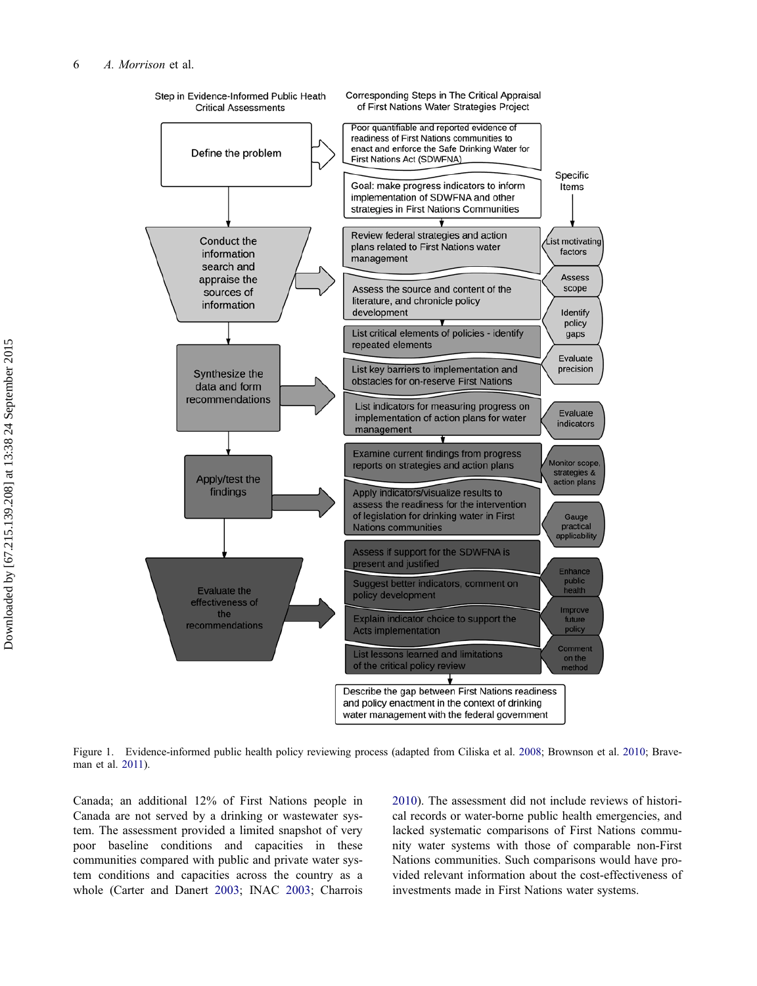<span id="page-6-0"></span>

Figure 1. Evidence-informed public health policy reviewing process (adapted from Ciliska et al. [2008;](#page-19-0) Brownson et al. [2010;](#page-19-0) Braveman et al. [2011\)](#page-19-0).

Canada; an additional 12% of First Nations people in Canada are not served by a drinking or wastewater system. The assessment provided a limited snapshot of very poor baseline conditions and capacities in these communities compared with public and private water system conditions and capacities across the country as a whole (Carter and Danert [2003;](#page-19-0) INAC [2003](#page-20-0); Charrois

[2010\)](#page-19-0). The assessment did not include reviews of historical records or water-borne public health emergencies, and lacked systematic comparisons of First Nations community water systems with those of comparable non-First Nations communities. Such comparisons would have provided relevant information about the cost-effectiveness of investments made in First Nations water systems.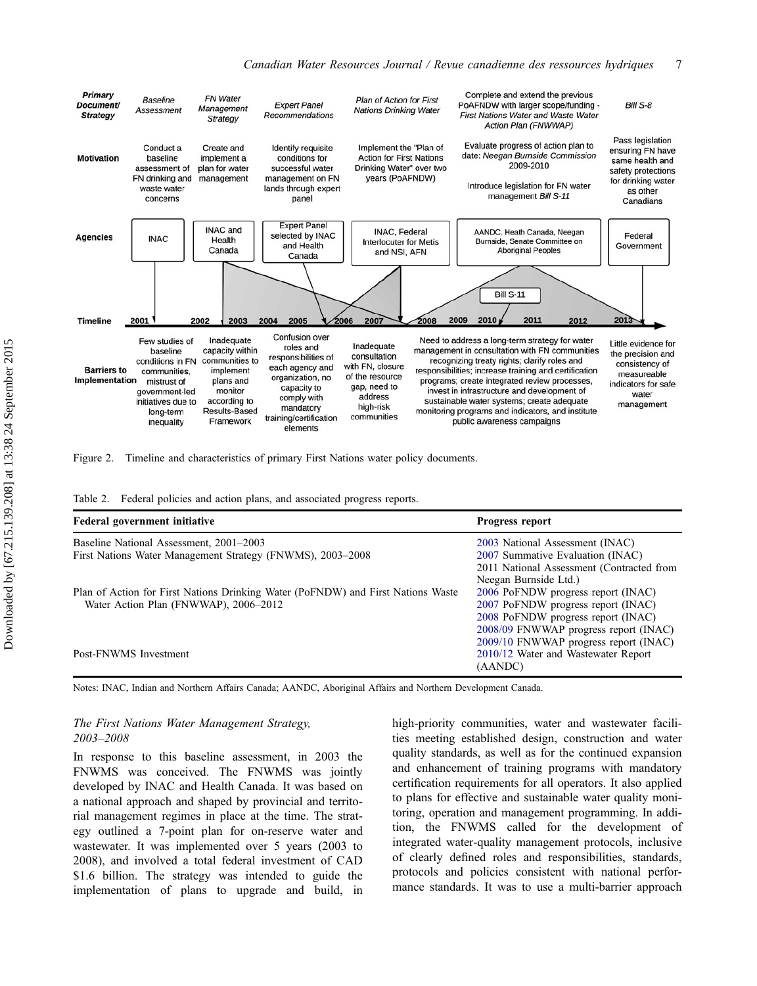<span id="page-7-0"></span>

Figure 2. Timeline and characteristics of primary First Nations water policy documents.

Table 2. Federal policies and action plans, and associated progress reports.

| Federal government initiative                                                                         | <b>Progress report</b>                                                                                           |
|-------------------------------------------------------------------------------------------------------|------------------------------------------------------------------------------------------------------------------|
| Baseline National Assessment, 2001–2003<br>First Nations Water Management Strategy (FNWMS), 2003–2008 | 2003 National Assessment (INAC)<br>2007 Summative Evaluation (INAC)<br>2011 National Assessment (Contracted from |
| Plan of Action for First Nations Drinking Water (PoFNDW) and First Nations Waste                      | Neegan Burnside Ltd.)<br>2006 PoFNDW progress report (INAC)                                                      |
| Water Action Plan (FNWWAP), 2006-2012                                                                 | 2007 PoFNDW progress report (INAC)<br>2008 PoFNDW progress report (INAC)                                         |
|                                                                                                       | 2008/09 FNWWAP progress report (INAC)<br>2009/10 FNWWAP progress report (INAC)                                   |
| Post-FNWMS Investment                                                                                 | 2010/12 Water and Wastewater Report<br>(AANDC)                                                                   |

Notes: INAC, Indian and Northern Affairs Canada; AANDC, Aboriginal Affairs and Northern Development Canada.

# The First Nations Water Management Strategy, 2003–2008

In response to this baseline assessment, in 2003 the FNWMS was conceived. The FNWMS was jointly developed by INAC and Health Canada. It was based on a national approach and shaped by provincial and territorial management regimes in place at the time. The strategy outlined a 7-point plan for on-reserve water and wastewater. It was implemented over 5 years (2003 to 2008), and involved a total federal investment of CAD \$1.6 billion. The strategy was intended to guide the implementation of plans to upgrade and build, in

high-priority communities, water and wastewater facilities meeting established design, construction and water quality standards, as well as for the continued expansion and enhancement of training programs with mandatory certification requirements for all operators. It also applied to plans for effective and sustainable water quality monitoring, operation and management programming. In addition, the FNWMS called for the development of integrated water-quality management protocols, inclusive of clearly defined roles and responsibilities, standards, protocols and policies consistent with national performance standards. It was to use a multi-barrier approach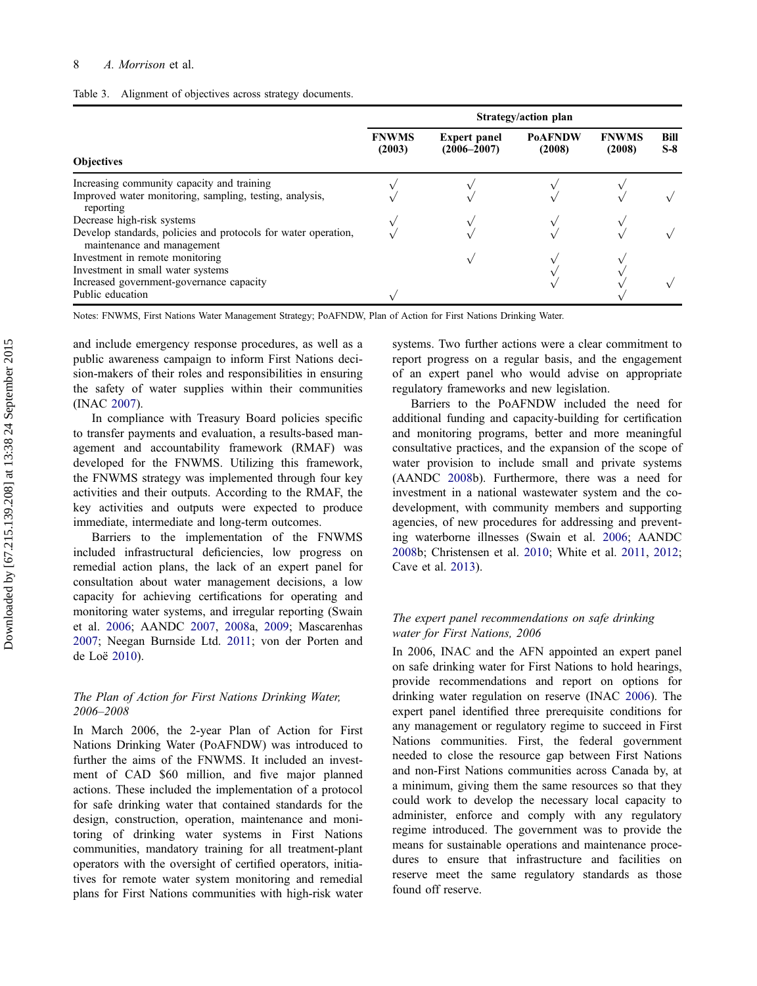<span id="page-8-0"></span>

| Table 3. | Alignment of objectives across strategy documents. |  |  |
|----------|----------------------------------------------------|--|--|
|          |                                                    |  |  |

|                                                                                              |                        |                                        | Strategy/action plan     |                        |               |
|----------------------------------------------------------------------------------------------|------------------------|----------------------------------------|--------------------------|------------------------|---------------|
| <b>Objectives</b>                                                                            | <b>FNWMS</b><br>(2003) | <b>Expert panel</b><br>$(2006 - 2007)$ | <b>POAFNDW</b><br>(2008) | <b>FNWMS</b><br>(2008) | Bill<br>$S-8$ |
| Increasing community capacity and training                                                   |                        |                                        |                          |                        |               |
| Improved water monitoring, sampling, testing, analysis,<br>reporting                         |                        |                                        |                          |                        |               |
| Decrease high-risk systems                                                                   |                        |                                        |                          |                        |               |
| Develop standards, policies and protocols for water operation,<br>maintenance and management |                        |                                        |                          |                        |               |
| Investment in remote monitoring                                                              |                        |                                        |                          |                        |               |
| Investment in small water systems                                                            |                        |                                        |                          |                        |               |
| Increased government-governance capacity                                                     |                        |                                        |                          |                        |               |
| Public education                                                                             |                        |                                        |                          |                        |               |

Notes: FNWMS, First Nations Water Management Strategy; PoAFNDW, Plan of Action for First Nations Drinking Water.

and include emergency response procedures, as well as a public awareness campaign to inform First Nations decision-makers of their roles and responsibilities in ensuring the safety of water supplies within their communities (INAC [2007\)](#page-20-0).

In compliance with Treasury Board policies specific to transfer payments and evaluation, a results-based management and accountability framework (RMAF) was developed for the FNWMS. Utilizing this framework, the FNWMS strategy was implemented through four key activities and their outputs. According to the RMAF, the key activities and outputs were expected to produce immediate, intermediate and long-term outcomes.

Barriers to the implementation of the FNWMS included infrastructural deficiencies, low progress on remedial action plans, the lack of an expert panel for consultation about water management decisions, a low capacity for achieving certifications for operating and monitoring water systems, and irregular reporting (Swain et al. [2006;](#page-21-0) AANDC [2007,](#page-18-0) [2008a](#page-18-0), [2009;](#page-18-0) Mascarenhas [2007;](#page-20-0) Neegan Burnside Ltd. [2011;](#page-20-0) von der Porten and de Loë [2010](#page-21-0)).

# The Plan of Action for First Nations Drinking Water, 2006–2008

In March 2006, the 2-year Plan of Action for First Nations Drinking Water (PoAFNDW) was introduced to further the aims of the FNWMS. It included an investment of CAD \$60 million, and five major planned actions. These included the implementation of a protocol for safe drinking water that contained standards for the design, construction, operation, maintenance and monitoring of drinking water systems in First Nations communities, mandatory training for all treatment-plant operators with the oversight of certified operators, initiatives for remote water system monitoring and remedial plans for First Nations communities with high-risk water

systems. Two further actions were a clear commitment to report progress on a regular basis, and the engagement of an expert panel who would advise on appropriate regulatory frameworks and new legislation.

Barriers to the PoAFNDW included the need for additional funding and capacity-building for certification and monitoring programs, better and more meaningful consultative practices, and the expansion of the scope of water provision to include small and private systems (AANDC [2008b](#page-18-0)). Furthermore, there was a need for investment in a national wastewater system and the codevelopment, with community members and supporting agencies, of new procedures for addressing and preventing waterborne illnesses (Swain et al. [2006](#page-21-0); AANDC [2008b](#page-18-0); Christensen et al. [2010;](#page-19-0) White et al. [2011](#page-21-0), [2012](#page-21-0); Cave et al. [2013\)](#page-19-0).

# The expert panel recommendations on safe drinking water for First Nations, 2006

In 2006, INAC and the AFN appointed an expert panel on safe drinking water for First Nations to hold hearings, provide recommendations and report on options for drinking water regulation on reserve (INAC [2006\)](#page-20-0). The expert panel identified three prerequisite conditions for any management or regulatory regime to succeed in First Nations communities. First, the federal government needed to close the resource gap between First Nations and non-First Nations communities across Canada by, at a minimum, giving them the same resources so that they could work to develop the necessary local capacity to administer, enforce and comply with any regulatory regime introduced. The government was to provide the means for sustainable operations and maintenance procedures to ensure that infrastructure and facilities on reserve meet the same regulatory standards as those found off reserve.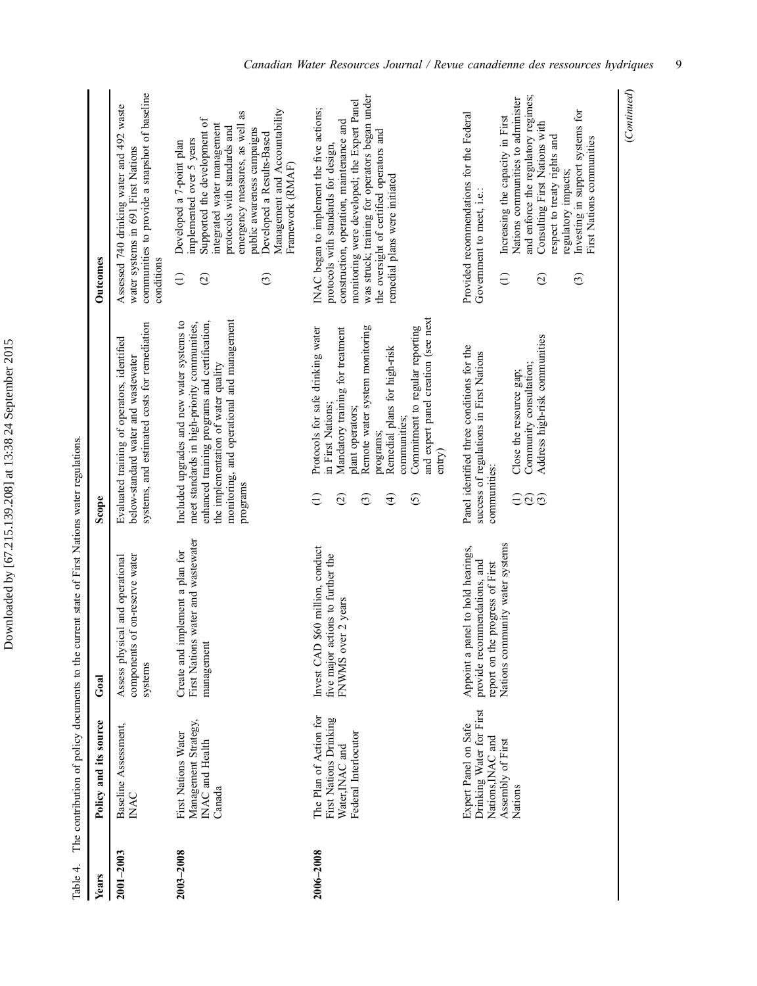| Í,                            |
|-------------------------------|
|                               |
|                               |
| <b>C 2000</b>                 |
| j                             |
| こくへく くくさい てんこう<br>١<br>)<br>) |
|                               |
|                               |
|                               |
|                               |
|                               |
|                               |
|                               |
|                               |
|                               |
| ļ                             |
|                               |

<span id="page-9-0"></span>

| Years         | Policy and its source                                                                      | Goal                                                                                                 | Scope                                                                                                                                                                                                                                                                                                                                                                 | <b>Outcomes</b>                                                                                                                                                                                                                                                                                                                                |
|---------------|--------------------------------------------------------------------------------------------|------------------------------------------------------------------------------------------------------|-----------------------------------------------------------------------------------------------------------------------------------------------------------------------------------------------------------------------------------------------------------------------------------------------------------------------------------------------------------------------|------------------------------------------------------------------------------------------------------------------------------------------------------------------------------------------------------------------------------------------------------------------------------------------------------------------------------------------------|
| $2001 - 2003$ | Baseline Assessment,<br><b>NAC</b>                                                         | of on-reserve water<br>Assess physical and operational<br>components<br>systems                      | systems, and estimated costs for remediation<br>Evaluated training of operators, identified<br>below-standard water and wastewater                                                                                                                                                                                                                                    | communities to provide a snapshot of baseline<br>Assessed 740 drinking water and 492 waste<br>water systems in 691 First Nations<br>conditions                                                                                                                                                                                                 |
| $2003 - 2008$ | Management Strategy,<br>First Nations Water<br><b>INAC</b> and Health<br>Canada            | water and wastewater<br>Create and implement a plan for<br>First Nations<br>management               | monitoring, and operational and management<br>enhanced training programs and certification,<br>Included upgrades and new water systems to<br>meet standards in high-priority communities,<br>the implementation of water quality<br>programs                                                                                                                          | Management and Accountability<br>emergency measures, as well as<br>Supported the development of<br>integrated water management<br>protocols with standards and<br>public awareness campaigns<br>Developed a Results-Based<br>implemented over 5 years<br>Developed a 7-point plan<br>Framework (RMAF)<br>$\ominus$<br>$\widehat{c}$<br>$\odot$ |
| 2006-2008     | The Plan of Action for<br>First Nations Drinking<br>Federal Interlocutor<br>Water, NAC and | \$60 million, conduct<br>five major actions to further the<br>FNWMS over 2 years<br>Invest CAD       | and expert panel creation (see next<br>Commitment to regular reporting<br>Remote water system monitoring<br>Protocols for safe drinking water<br>Mandatory training for treatment<br>Remedial plans for high-risk<br>in First Nations;<br>plant operators;<br>communities;<br>programs;<br>entry)<br>$\widehat{\Xi}$<br>$\bigoplus$<br>$\odot$<br>$\odot$<br><u>ර</u> | was struck; training for operators began under<br>monitoring were developed; the Expert Panel<br>INAC began to implement the five actions;<br>construction, operation, maintenance and<br>the oversight of certified operators and<br>protocols with standards for design,<br>remedial plans were initiated                                    |
|               | Drinking Water for First<br>Expert Panel on Safe<br>Nations, INAC and                      | Appoint a panel to hold hearings,<br>provide recommendations, and<br>report on the progress of First | Panel identified three conditions for the<br>success of regulations in First Nations<br>communities:                                                                                                                                                                                                                                                                  | Provided recommendations for the Federal<br>Government to meet, i.e.:                                                                                                                                                                                                                                                                          |
|               | Assembly of First<br>Nations                                                               | Nations community water systems                                                                      | Address high-risk communities<br>Community consultation;<br>Close the resource gap;<br>ලිලි                                                                                                                                                                                                                                                                           | and enforce the regulatory regimes;<br>Nations communities to administer<br>Investing in support systems for<br>Increasing the capacity in First<br>Consulting First Nations with<br>respect to treaty rights and<br>First Nations communities<br>regulatory impacts;<br>$\widehat{\Xi}$<br>$\odot$<br>$\odot$                                 |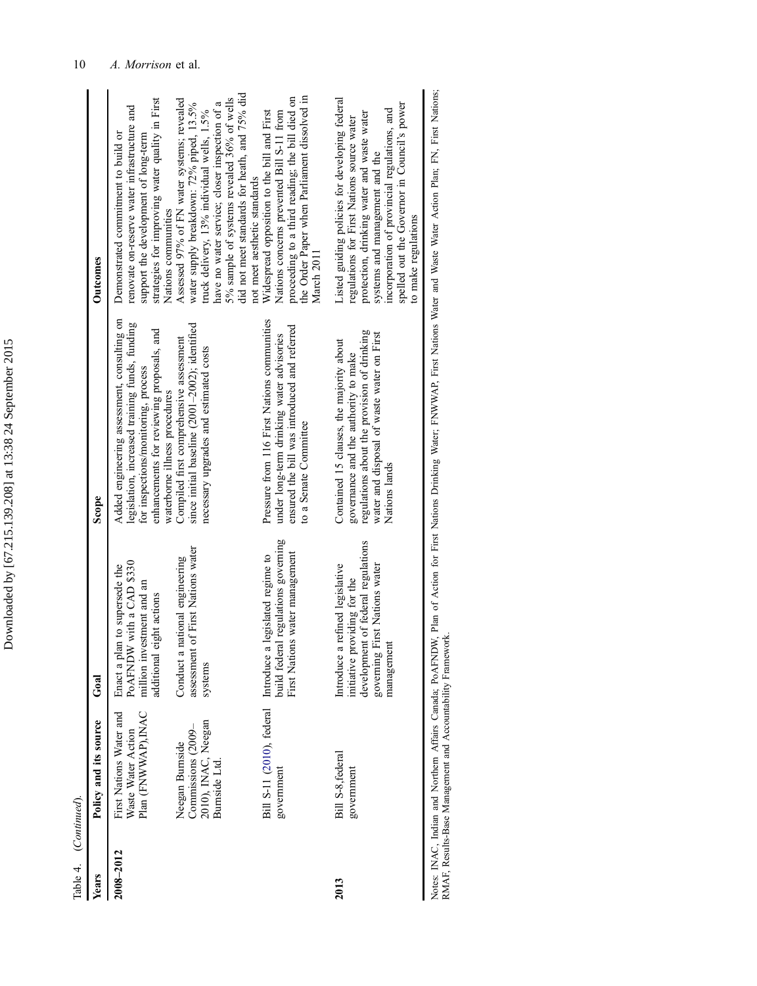| ı                  |
|--------------------|
| ı<br>í             |
|                    |
|                    |
| ŧ                  |
| こっこ                |
|                    |
|                    |
|                    |
| י ההיה ה<br>١<br>I |
|                    |
| י<br>י             |
| ہ<br>آ             |
| l                  |
|                    |
|                    |
|                    |
|                    |
| ļ                  |
|                    |

Table 4. (Continued). Table 4. (Continued).

| Years     | Policy and its source                                                        | Goal                                                                                                                                                 | Scope                                                                                                                                                                                                              | Outcomes                                                                                                                                                                                                                                                                                                             |
|-----------|------------------------------------------------------------------------------|------------------------------------------------------------------------------------------------------------------------------------------------------|--------------------------------------------------------------------------------------------------------------------------------------------------------------------------------------------------------------------|----------------------------------------------------------------------------------------------------------------------------------------------------------------------------------------------------------------------------------------------------------------------------------------------------------------------|
| 2008-2012 | Plan (FNWWAP), INAC<br>First Nations Water and<br>Waste Water Action         | with a CAD \$330<br>Enact a plan to supersede the<br>million investment and an<br>additional eight actions<br>PoAFNDW                                | Added engineering assessment, consulting on<br>legislation, increased training funds, funding<br>enhancements for reviewing proposals, and<br>for inspections/monitoring, process<br>waterborne illness procedures | strategies for improving water quality in First<br>renovate on-reserve water infrastructure and<br>Demonstrated commitment to build or<br>support the development of long-term<br>Nations communities                                                                                                                |
|           | 2010), INAC, Neegan<br>Commissions (2009-<br>Neegan Burnside<br>Bumside Ltd. | of First Nations water<br>Conduct a national engineering<br>assessment<br>systems                                                                    | since initial baseline (2001-2002); identified<br>Compiled first comprehensive assessment<br>necessary upgrades and estimated costs                                                                                | did not meet standards for heath, and 75% did<br>5% sample of systems revealed 36% of wells<br>Assessed 97% of FN water systems; revealed<br>have no water service; closer inspection of a<br>water supply breakdown: 72% piped, 13.5%<br>truck delivery, 13% individual wells, 1.5%<br>not meet aesthetic standards |
|           | Bill S-11 (2010), federal Introduce a<br>government                          | build federal regulations governing<br>water management<br>legislated regime to<br>First Nations                                                     | Pressure from 116 First Nations communities<br>ensured the bill was introduced and referred<br>under long-term drinking water advisories<br>to a Senate Committee                                                  | the Order Paper when Parliament dissolved in<br>proceeding to a third reading; the bill died on<br>Widespread opposition to the bill and First<br>Nations concerns prevented Bill S-11 from<br>March 2011                                                                                                            |
| 2013      | Bill S-8, federal<br>government                                              | development of federal regulations<br>Introduce a refined legislative<br>governing First Nations water<br>initiative providing for the<br>management | regulations about the provision of drinking<br>water and disposal of waste water on First<br>Contained 15 clauses, the majority about<br>governance and the authority to make<br>Nations lands                     | Listed guiding policies for developing federal<br>spelled out the Governor in Council's power<br>incorporation of provincial regulations, and<br>protection, drinking water and waste water<br>regulations for First Nations source water<br>systems and management and the<br>to make regulations                   |

Notes: INAC, Indian and Northern Affairs Canada; PoAFNDW, Plan of Action for First Nations Drinking Water; FNWWAP, First Nations Water and Waste Water Action Plan; FN, First Nations;<br>RMAF, Results-Base Management and Accou Notes: INAC, Indian and Northern Affairs Canada; PoAFNDW, Plan of Action for First Nations Drinking Water; FNWWAP, First Nations Water and Waste Water Action Plan; FN, First Nations; RMAF, Results-Base Management and Accountability Framework.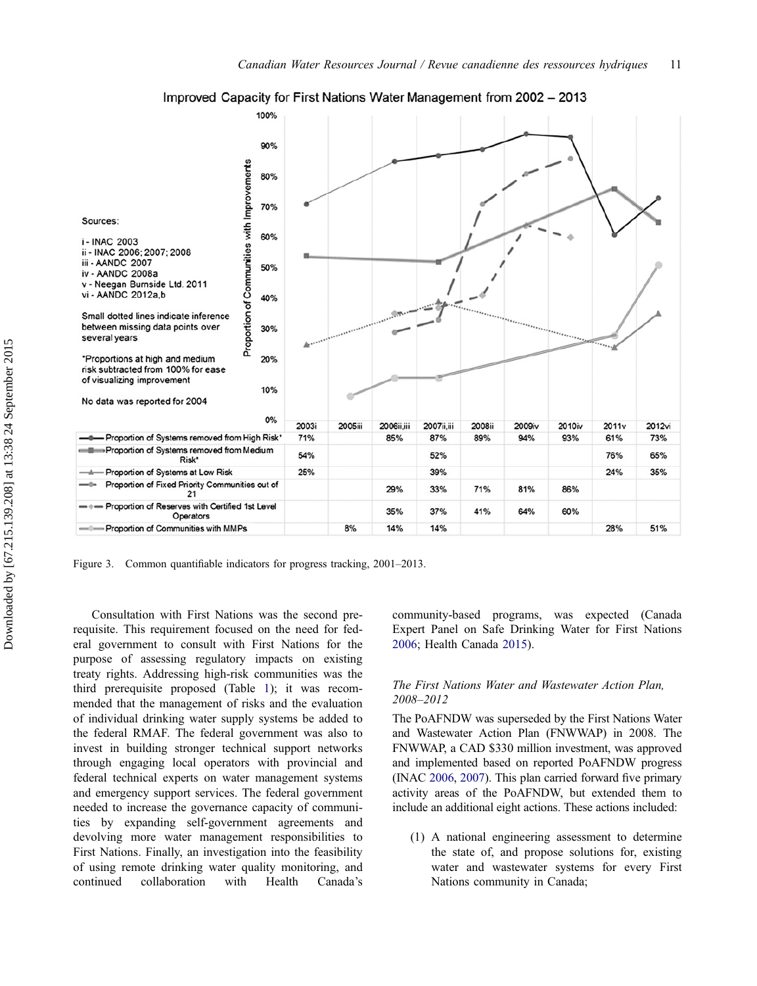Improved Capacity for First Nations Water Management from 2002 - 2013

<span id="page-11-0"></span>

Figure 3. Common quantifiable indicators for progress tracking, 2001–2013.

Consultation with First Nations was the second prerequisite. This requirement focused on the need for federal government to consult with First Nations for the purpose of assessing regulatory impacts on existing treaty rights. Addressing high-risk communities was the third prerequisite proposed (Table [1](#page-3-0)); it was recommended that the management of risks and the evaluation of individual drinking water supply systems be added to the federal RMAF. The federal government was also to invest in building stronger technical support networks through engaging local operators with provincial and federal technical experts on water management systems and emergency support services. The federal government needed to increase the governance capacity of communities by expanding self-government agreements and devolving more water management responsibilities to First Nations. Finally, an investigation into the feasibility of using remote drinking water quality monitoring, and continued collaboration with Health Canada's community-based programs, was expected (Canada Expert Panel on Safe Drinking Water for First Nations [2006;](#page-19-0) Health Canada [2015\)](#page-19-0).

# The First Nations Water and Wastewater Action Plan, 2008–2012

The PoAFNDW was superseded by the First Nations Water and Wastewater Action Plan (FNWWAP) in 2008. The FNWWAP, a CAD \$330 million investment, was approved and implemented based on reported PoAFNDW progress (INAC [2006](#page-20-0), [2007](#page-20-0)). This plan carried forward five primary activity areas of the PoAFNDW, but extended them to include an additional eight actions. These actions included:

(1) A national engineering assessment to determine the state of, and propose solutions for, existing water and wastewater systems for every First Nations community in Canada;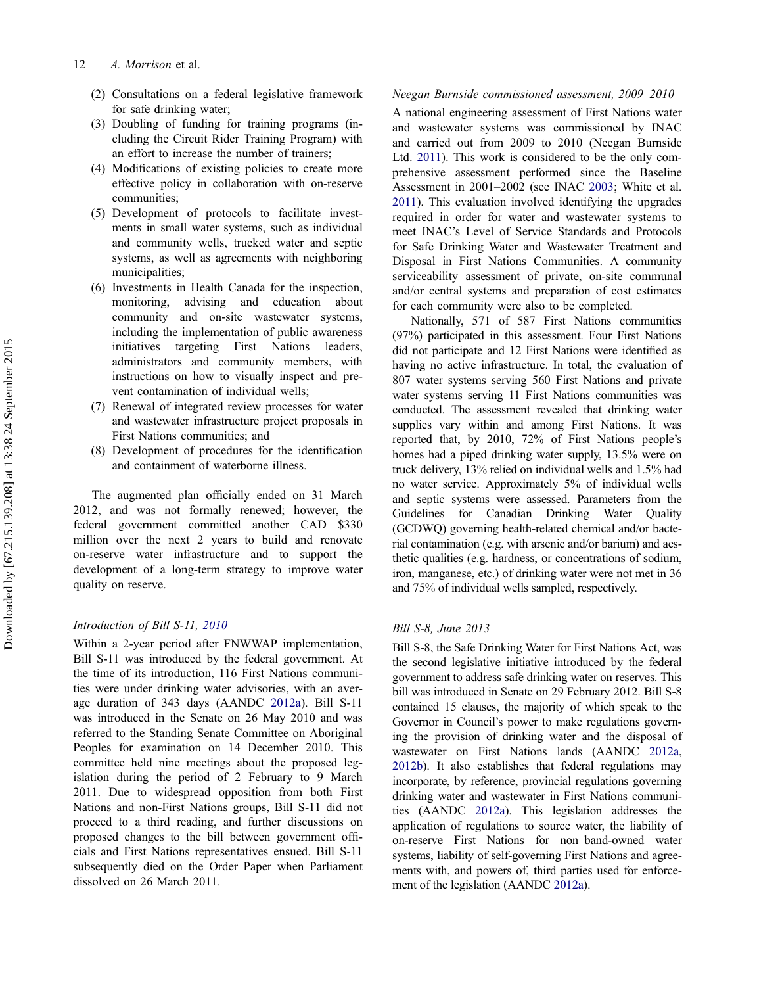- (2) Consultations on a federal legislative framework for safe drinking water;
- (3) Doubling of funding for training programs (including the Circuit Rider Training Program) with an effort to increase the number of trainers;
- (4) Modifications of existing policies to create more effective policy in collaboration with on-reserve communities;
- (5) Development of protocols to facilitate investments in small water systems, such as individual and community wells, trucked water and septic systems, as well as agreements with neighboring municipalities;
- (6) Investments in Health Canada for the inspection, monitoring, advising and education about community and on-site wastewater systems, including the implementation of public awareness initiatives targeting First Nations leaders, administrators and community members, with instructions on how to visually inspect and prevent contamination of individual wells;
- (7) Renewal of integrated review processes for water and wastewater infrastructure project proposals in First Nations communities; and
- (8) Development of procedures for the identification and containment of waterborne illness.

The augmented plan officially ended on 31 March 2012, and was not formally renewed; however, the federal government committed another CAD \$330 million over the next 2 years to build and renovate on-reserve water infrastructure and to support the development of a long-term strategy to improve water quality on reserve.

# Introduction of Bill S-11, [2010](#page-18-0)

Within a 2-year period after FNWWAP implementation, Bill S-11 was introduced by the federal government. At the time of its introduction, 116 First Nations communities were under drinking water advisories, with an average duration of 343 days (AANDC [2012a](#page-18-0)). Bill S-11 was introduced in the Senate on 26 May 2010 and was referred to the Standing Senate Committee on Aboriginal Peoples for examination on 14 December 2010. This committee held nine meetings about the proposed legislation during the period of 2 February to 9 March 2011. Due to widespread opposition from both First Nations and non-First Nations groups, Bill S-11 did not proceed to a third reading, and further discussions on proposed changes to the bill between government officials and First Nations representatives ensued. Bill S-11 subsequently died on the Order Paper when Parliament dissolved on 26 March 2011.

#### Neegan Burnside commissioned assessment, 2009–2010

A national engineering assessment of First Nations water and wastewater systems was commissioned by INAC and carried out from 2009 to 2010 (Neegan Burnside Ltd. [2011\)](#page-20-0). This work is considered to be the only comprehensive assessment performed since the Baseline Assessment in 2001–2002 (see INAC [2003](#page-20-0); White et al. [2011\)](#page-21-0). This evaluation involved identifying the upgrades required in order for water and wastewater systems to meet INAC's Level of Service Standards and Protocols for Safe Drinking Water and Wastewater Treatment and Disposal in First Nations Communities. A community serviceability assessment of private, on-site communal and/or central systems and preparation of cost estimates for each community were also to be completed.

Nationally, 571 of 587 First Nations communities (97%) participated in this assessment. Four First Nations did not participate and 12 First Nations were identified as having no active infrastructure. In total, the evaluation of 807 water systems serving 560 First Nations and private water systems serving 11 First Nations communities was conducted. The assessment revealed that drinking water supplies vary within and among First Nations. It was reported that, by 2010, 72% of First Nations people's homes had a piped drinking water supply, 13.5% were on truck delivery, 13% relied on individual wells and 1.5% had no water service. Approximately 5% of individual wells and septic systems were assessed. Parameters from the Guidelines for Canadian Drinking Water Quality (GCDWQ) governing health-related chemical and/or bacterial contamination (e.g. with arsenic and/or barium) and aesthetic qualities (e.g. hardness, or concentrations of sodium, iron, manganese, etc.) of drinking water were not met in 36 and 75% of individual wells sampled, respectively.

## Bill S-8, June 2013

Bill S-8, the Safe Drinking Water for First Nations Act, was the second legislative initiative introduced by the federal government to address safe drinking water on reserves. This bill was introduced in Senate on 29 February 2012. Bill S-8 contained 15 clauses, the majority of which speak to the Governor in Council's power to make regulations governing the provision of drinking water and the disposal of wastewater on First Nations lands (AANDC [2012a,](#page-18-0) [2012b](#page-18-0)). It also establishes that federal regulations may incorporate, by reference, provincial regulations governing drinking water and wastewater in First Nations communities (AANDC [2012a\)](#page-18-0). This legislation addresses the application of regulations to source water, the liability of on-reserve First Nations for non–band-owned water systems, liability of self-governing First Nations and agreements with, and powers of, third parties used for enforcement of the legislation (AANDC [2012a\)](#page-18-0).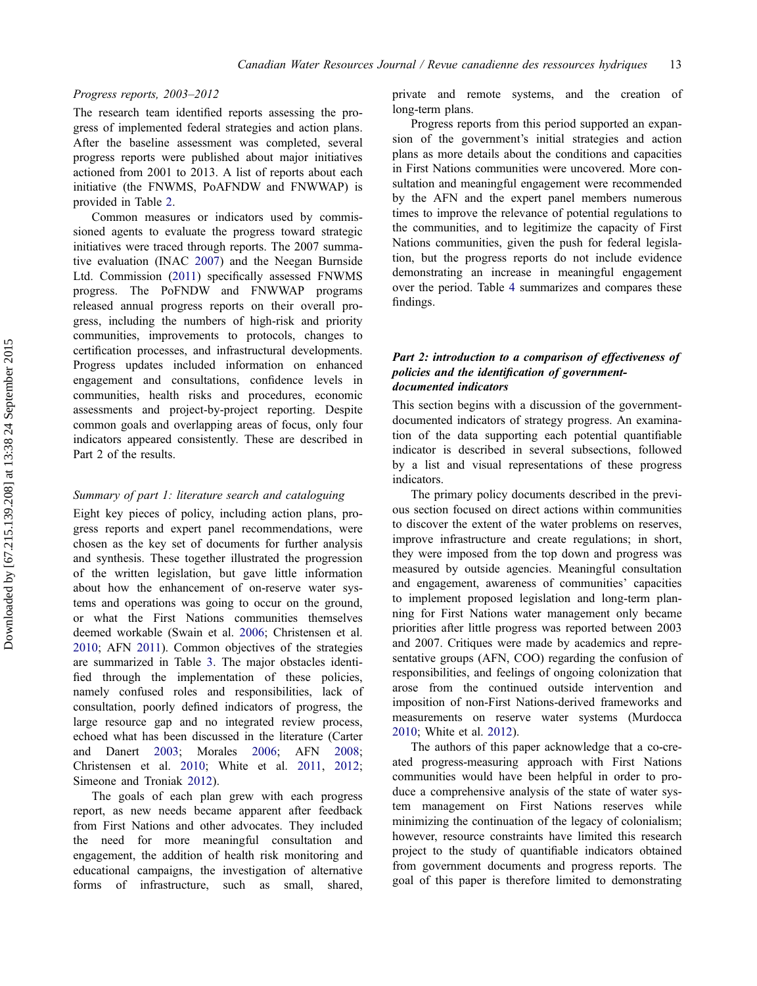#### Progress reports, 2003–2012

The research team identified reports assessing the progress of implemented federal strategies and action plans. After the baseline assessment was completed, several progress reports were published about major initiatives actioned from 2001 to 2013. A list of reports about each initiative (the FNWMS, PoAFNDW and FNWWAP) is provided in Table [2.](#page-7-0)

Common measures or indicators used by commissioned agents to evaluate the progress toward strategic initiatives were traced through reports. The 2007 summative evaluation (INAC [2007\)](#page-20-0) and the Neegan Burnside Ltd. Commission ([2011\)](#page-20-0) specifically assessed FNWMS progress. The PoFNDW and FNWWAP programs released annual progress reports on their overall progress, including the numbers of high-risk and priority communities, improvements to protocols, changes to certification processes, and infrastructural developments. Progress updates included information on enhanced engagement and consultations, confidence levels in communities, health risks and procedures, economic assessments and project-by-project reporting. Despite common goals and overlapping areas of focus, only four indicators appeared consistently. These are described in Part 2 of the results.

# Summary of part 1: literature search and cataloguing

Eight key pieces of policy, including action plans, progress reports and expert panel recommendations, were chosen as the key set of documents for further analysis and synthesis. These together illustrated the progression of the written legislation, but gave little information about how the enhancement of on-reserve water systems and operations was going to occur on the ground, or what the First Nations communities themselves deemed workable (Swain et al. [2006;](#page-21-0) Christensen et al. [2010;](#page-19-0) AFN [2011\)](#page-18-0). Common objectives of the strategies are summarized in Table [3](#page-8-0). The major obstacles identified through the implementation of these policies, namely confused roles and responsibilities, lack of consultation, poorly defined indicators of progress, the large resource gap and no integrated review process, echoed what has been discussed in the literature (Carter and Danert [2003](#page-19-0); Morales [2006;](#page-20-0) AFN [2008](#page-18-0); Christensen et al. [2010](#page-19-0); White et al. [2011](#page-21-0), [2012](#page-21-0); Simeone and Troniak [2012](#page-21-0)).

The goals of each plan grew with each progress report, as new needs became apparent after feedback from First Nations and other advocates. They included the need for more meaningful consultation and engagement, the addition of health risk monitoring and educational campaigns, the investigation of alternative forms of infrastructure, such as small, shared, private and remote systems, and the creation of long-term plans.

Progress reports from this period supported an expansion of the government's initial strategies and action plans as more details about the conditions and capacities in First Nations communities were uncovered. More consultation and meaningful engagement were recommended by the AFN and the expert panel members numerous times to improve the relevance of potential regulations to the communities, and to legitimize the capacity of First Nations communities, given the push for federal legislation, but the progress reports do not include evidence demonstrating an increase in meaningful engagement over the period. Table [4](#page-9-0) summarizes and compares these findings.

# Part 2: introduction to a comparison of effectiveness of policies and the identification of governmentdocumented indicators

This section begins with a discussion of the governmentdocumented indicators of strategy progress. An examination of the data supporting each potential quantifiable indicator is described in several subsections, followed by a list and visual representations of these progress indicators.

The primary policy documents described in the previous section focused on direct actions within communities to discover the extent of the water problems on reserves, improve infrastructure and create regulations; in short, they were imposed from the top down and progress was measured by outside agencies. Meaningful consultation and engagement, awareness of communities' capacities to implement proposed legislation and long-term planning for First Nations water management only became priorities after little progress was reported between 2003 and 2007. Critiques were made by academics and representative groups (AFN, COO) regarding the confusion of responsibilities, and feelings of ongoing colonization that arose from the continued outside intervention and imposition of non-First Nations-derived frameworks and measurements on reserve water systems (Murdocca [2010;](#page-20-0) White et al. [2012\)](#page-21-0).

The authors of this paper acknowledge that a co-created progress-measuring approach with First Nations communities would have been helpful in order to produce a comprehensive analysis of the state of water system management on First Nations reserves while minimizing the continuation of the legacy of colonialism; however, resource constraints have limited this research project to the study of quantifiable indicators obtained from government documents and progress reports. The goal of this paper is therefore limited to demonstrating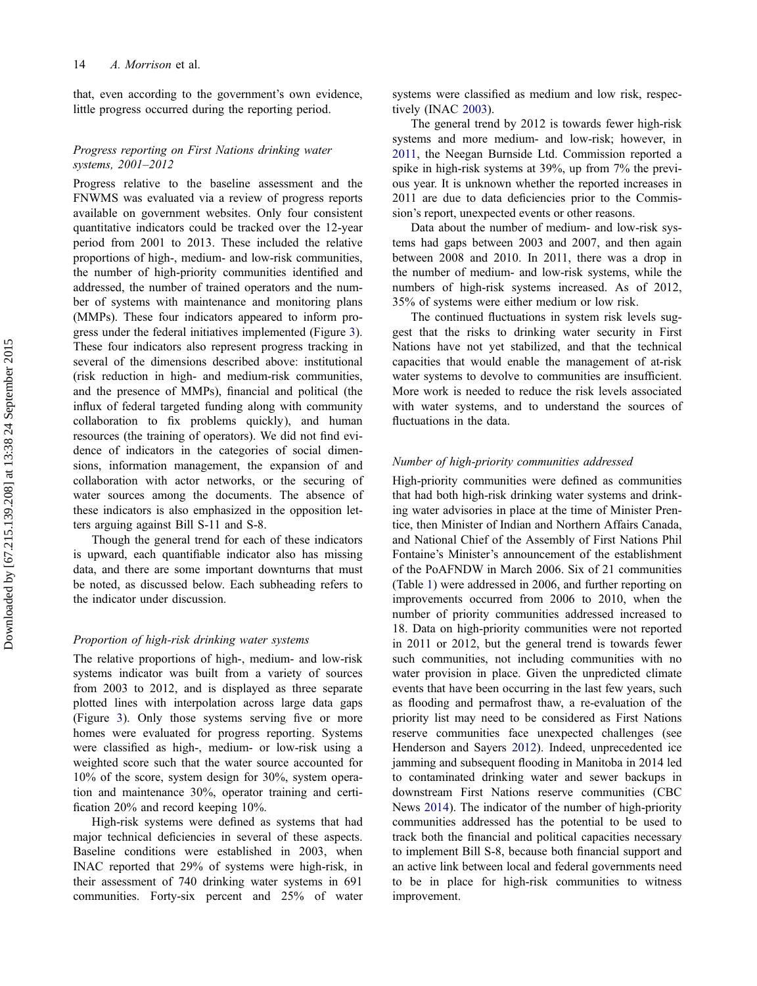that, even according to the government's own evidence, little progress occurred during the reporting period.

# Progress reporting on First Nations drinking water systems, 2001–2012

Progress relative to the baseline assessment and the FNWMS was evaluated via a review of progress reports available on government websites. Only four consistent quantitative indicators could be tracked over the 12-year period from 2001 to 2013. These included the relative proportions of high-, medium- and low-risk communities, the number of high-priority communities identified and addressed, the number of trained operators and the number of systems with maintenance and monitoring plans (MMPs). These four indicators appeared to inform progress under the federal initiatives implemented (Figure [3](#page-11-0)). These four indicators also represent progress tracking in several of the dimensions described above: institutional (risk reduction in high- and medium-risk communities, and the presence of MMPs), financial and political (the influx of federal targeted funding along with community collaboration to fix problems quickly), and human resources (the training of operators). We did not find evidence of indicators in the categories of social dimensions, information management, the expansion of and collaboration with actor networks, or the securing of water sources among the documents. The absence of these indicators is also emphasized in the opposition letters arguing against Bill S-11 and S-8.

Though the general trend for each of these indicators is upward, each quantifiable indicator also has missing data, and there are some important downturns that must be noted, as discussed below. Each subheading refers to the indicator under discussion.

#### Proportion of high-risk drinking water systems

The relative proportions of high-, medium- and low-risk systems indicator was built from a variety of sources from 2003 to 2012, and is displayed as three separate plotted lines with interpolation across large data gaps (Figure [3](#page-11-0)). Only those systems serving five or more homes were evaluated for progress reporting. Systems were classified as high-, medium- or low-risk using a weighted score such that the water source accounted for 10% of the score, system design for 30%, system operation and maintenance 30%, operator training and certification 20% and record keeping 10%.

High-risk systems were defined as systems that had major technical deficiencies in several of these aspects. Baseline conditions were established in 2003, when INAC reported that 29% of systems were high-risk, in their assessment of 740 drinking water systems in 691 communities. Forty-six percent and 25% of water

systems were classified as medium and low risk, respectively (INAC [2003](#page-20-0)).

The general trend by 2012 is towards fewer high-risk systems and more medium- and low-risk; however, in [2011,](#page-20-0) the Neegan Burnside Ltd. Commission reported a spike in high-risk systems at 39%, up from 7% the previous year. It is unknown whether the reported increases in 2011 are due to data deficiencies prior to the Commission's report, unexpected events or other reasons.

Data about the number of medium- and low-risk systems had gaps between 2003 and 2007, and then again between 2008 and 2010. In 2011, there was a drop in the number of medium- and low-risk systems, while the numbers of high-risk systems increased. As of 2012, 35% of systems were either medium or low risk.

The continued fluctuations in system risk levels suggest that the risks to drinking water security in First Nations have not yet stabilized, and that the technical capacities that would enable the management of at-risk water systems to devolve to communities are insufficient. More work is needed to reduce the risk levels associated with water systems, and to understand the sources of fluctuations in the data.

#### Number of high-priority communities addressed

High-priority communities were defined as communities that had both high-risk drinking water systems and drinking water advisories in place at the time of Minister Prentice, then Minister of Indian and Northern Affairs Canada, and National Chief of the Assembly of First Nations Phil Fontaine's Minister's announcement of the establishment of the PoAFNDW in March 2006. Six of 21 communities (Table [1\)](#page-3-0) were addressed in 2006, and further reporting on improvements occurred from 2006 to 2010, when the number of priority communities addressed increased to 18. Data on high-priority communities were not reported in 2011 or 2012, but the general trend is towards fewer such communities, not including communities with no water provision in place. Given the unpredicted climate events that have been occurring in the last few years, such as flooding and permafrost thaw, a re-evaluation of the priority list may need to be considered as First Nations reserve communities face unexpected challenges (see Henderson and Sayers [2012](#page-19-0)). Indeed, unprecedented ice jamming and subsequent flooding in Manitoba in 2014 led to contaminated drinking water and sewer backups in downstream First Nations reserve communities (CBC News [2014\)](#page-19-0). The indicator of the number of high-priority communities addressed has the potential to be used to track both the financial and political capacities necessary to implement Bill S-8, because both financial support and an active link between local and federal governments need to be in place for high-risk communities to witness improvement.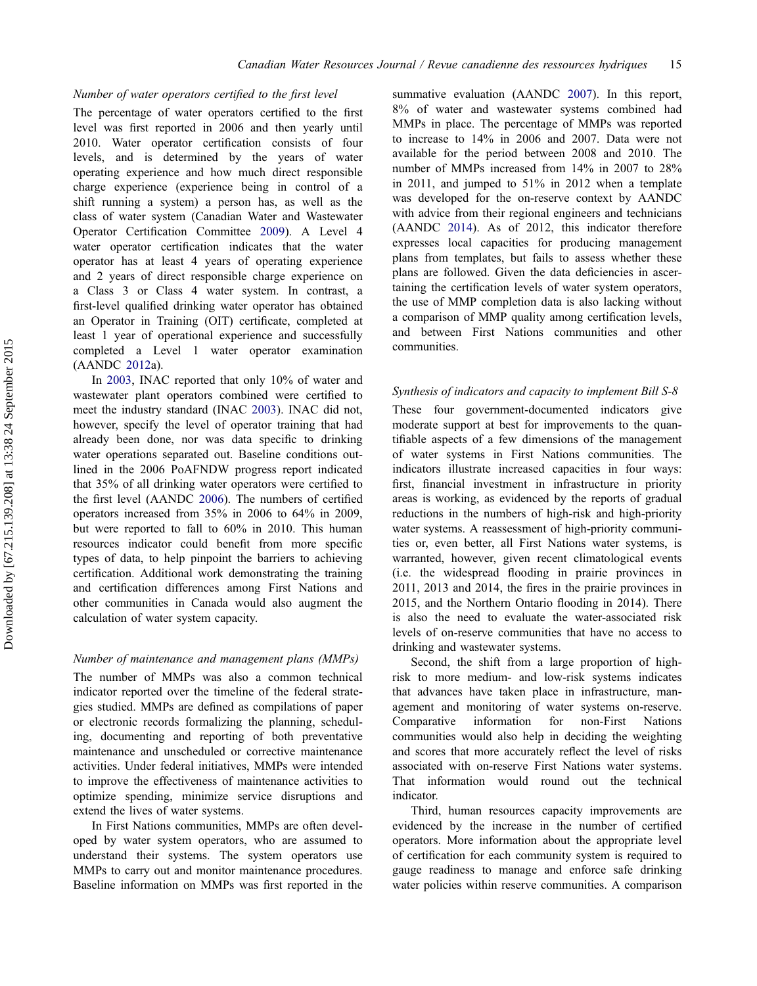#### Number of water operators certified to the first level

The percentage of water operators certified to the first level was first reported in 2006 and then yearly until 2010. Water operator certification consists of four levels, and is determined by the years of water operating experience and how much direct responsible charge experience (experience being in control of a shift running a system) a person has, as well as the class of water system (Canadian Water and Wastewater Operator Certification Committee [2009](#page-19-0)). A Level 4 water operator certification indicates that the water operator has at least 4 years of operating experience and 2 years of direct responsible charge experience on a Class 3 or Class 4 water system. In contrast, a first-level qualified drinking water operator has obtained an Operator in Training (OIT) certificate, completed at least 1 year of operational experience and successfully completed a Level 1 water operator examination (AANDC [2012a](#page-18-0)).

In [2003](#page-20-0), INAC reported that only 10% of water and wastewater plant operators combined were certified to meet the industry standard (INAC [2003\)](#page-20-0). INAC did not, however, specify the level of operator training that had already been done, nor was data specific to drinking water operations separated out. Baseline conditions outlined in the 2006 PoAFNDW progress report indicated that 35% of all drinking water operators were certified to the first level (AANDC [2006](#page-18-0)). The numbers of certified operators increased from 35% in 2006 to 64% in 2009, but were reported to fall to 60% in 2010. This human resources indicator could benefit from more specific types of data, to help pinpoint the barriers to achieving certification. Additional work demonstrating the training and certification differences among First Nations and other communities in Canada would also augment the calculation of water system capacity.

#### Number of maintenance and management plans (MMPs)

The number of MMPs was also a common technical indicator reported over the timeline of the federal strategies studied. MMPs are defined as compilations of paper or electronic records formalizing the planning, scheduling, documenting and reporting of both preventative maintenance and unscheduled or corrective maintenance activities. Under federal initiatives, MMPs were intended to improve the effectiveness of maintenance activities to optimize spending, minimize service disruptions and extend the lives of water systems.

In First Nations communities, MMPs are often developed by water system operators, who are assumed to understand their systems. The system operators use MMPs to carry out and monitor maintenance procedures. Baseline information on MMPs was first reported in the

summative evaluation (AANDC [2007](#page-18-0)). In this report, 8% of water and wastewater systems combined had MMPs in place. The percentage of MMPs was reported to increase to 14% in 2006 and 2007. Data were not available for the period between 2008 and 2010. The number of MMPs increased from 14% in 2007 to 28% in 2011, and jumped to 51% in 2012 when a template was developed for the on-reserve context by AANDC with advice from their regional engineers and technicians (AANDC [2014\)](#page-18-0). As of 2012, this indicator therefore expresses local capacities for producing management plans from templates, but fails to assess whether these plans are followed. Given the data deficiencies in ascertaining the certification levels of water system operators, the use of MMP completion data is also lacking without a comparison of MMP quality among certification levels, and between First Nations communities and other communities.

# Synthesis of indicators and capacity to implement Bill S-8

These four government-documented indicators give moderate support at best for improvements to the quantifiable aspects of a few dimensions of the management of water systems in First Nations communities. The indicators illustrate increased capacities in four ways: first, financial investment in infrastructure in priority areas is working, as evidenced by the reports of gradual reductions in the numbers of high-risk and high-priority water systems. A reassessment of high-priority communities or, even better, all First Nations water systems, is warranted, however, given recent climatological events (i.e. the widespread flooding in prairie provinces in 2011, 2013 and 2014, the fires in the prairie provinces in 2015, and the Northern Ontario flooding in 2014). There is also the need to evaluate the water-associated risk levels of on-reserve communities that have no access to drinking and wastewater systems.

Second, the shift from a large proportion of highrisk to more medium- and low-risk systems indicates that advances have taken place in infrastructure, management and monitoring of water systems on-reserve. Comparative information for non-First Nations communities would also help in deciding the weighting and scores that more accurately reflect the level of risks associated with on-reserve First Nations water systems. That information would round out the technical indicator.

Third, human resources capacity improvements are evidenced by the increase in the number of certified operators. More information about the appropriate level of certification for each community system is required to gauge readiness to manage and enforce safe drinking water policies within reserve communities. A comparison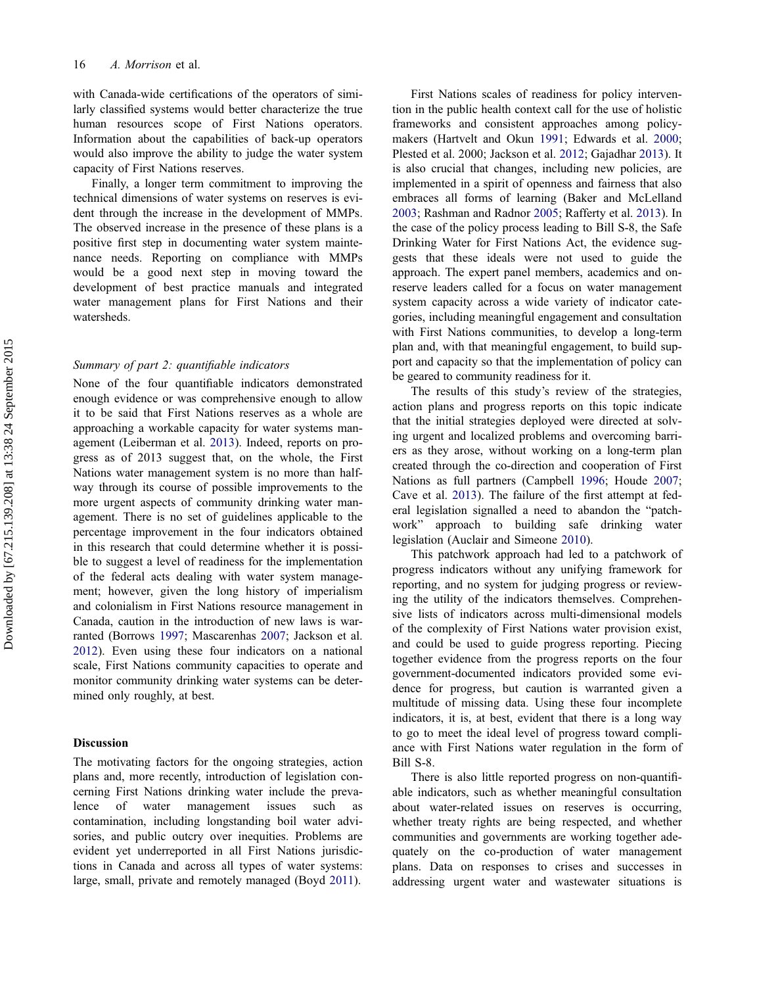with Canada-wide certifications of the operators of similarly classified systems would better characterize the true human resources scope of First Nations operators. Information about the capabilities of back-up operators would also improve the ability to judge the water system capacity of First Nations reserves.

Finally, a longer term commitment to improving the technical dimensions of water systems on reserves is evident through the increase in the development of MMPs. The observed increase in the presence of these plans is a positive first step in documenting water system maintenance needs. Reporting on compliance with MMPs would be a good next step in moving toward the development of best practice manuals and integrated water management plans for First Nations and their watersheds.

#### Summary of part 2: quantifiable indicators

None of the four quantifiable indicators demonstrated enough evidence or was comprehensive enough to allow it to be said that First Nations reserves as a whole are approaching a workable capacity for water systems management (Leiberman et al. [2013](#page-20-0)). Indeed, reports on progress as of 2013 suggest that, on the whole, the First Nations water management system is no more than halfway through its course of possible improvements to the more urgent aspects of community drinking water management. There is no set of guidelines applicable to the percentage improvement in the four indicators obtained in this research that could determine whether it is possible to suggest a level of readiness for the implementation of the federal acts dealing with water system management; however, given the long history of imperialism and colonialism in First Nations resource management in Canada, caution in the introduction of new laws is warranted (Borrows [1997](#page-19-0); Mascarenhas [2007](#page-20-0); Jackson et al. [2012\)](#page-20-0). Even using these four indicators on a national scale, First Nations community capacities to operate and monitor community drinking water systems can be determined only roughly, at best.

## Discussion

The motivating factors for the ongoing strategies, action plans and, more recently, introduction of legislation concerning First Nations drinking water include the prevalence of water management issues such as contamination, including longstanding boil water advisories, and public outcry over inequities. Problems are evident yet underreported in all First Nations jurisdictions in Canada and across all types of water systems: large, small, private and remotely managed (Boyd [2011](#page-19-0)).

First Nations scales of readiness for policy intervention in the public health context call for the use of holistic frameworks and consistent approaches among policymakers (Hartvelt and Okun [1991](#page-19-0); Edwards et al. [2000](#page-19-0); Plested et al. 2000; Jackson et al. [2012;](#page-20-0) Gajadhar [2013\)](#page-19-0). It is also crucial that changes, including new policies, are implemented in a spirit of openness and fairness that also embraces all forms of learning (Baker and McLelland [2003;](#page-18-0) Rashman and Radnor [2005;](#page-21-0) Rafferty et al. [2013\)](#page-21-0). In the case of the policy process leading to Bill S-8, the Safe Drinking Water for First Nations Act, the evidence suggests that these ideals were not used to guide the approach. The expert panel members, academics and onreserve leaders called for a focus on water management system capacity across a wide variety of indicator categories, including meaningful engagement and consultation with First Nations communities, to develop a long-term plan and, with that meaningful engagement, to build support and capacity so that the implementation of policy can be geared to community readiness for it.

The results of this study's review of the strategies, action plans and progress reports on this topic indicate that the initial strategies deployed were directed at solving urgent and localized problems and overcoming barriers as they arose, without working on a long-term plan created through the co-direction and cooperation of First Nations as full partners (Campbell [1996](#page-19-0); Houde [2007](#page-19-0); Cave et al. [2013](#page-19-0)). The failure of the first attempt at federal legislation signalled a need to abandon the "patchwork" approach to building safe drinking water legislation (Auclair and Simeone [2010](#page-18-0)).

This patchwork approach had led to a patchwork of progress indicators without any unifying framework for reporting, and no system for judging progress or reviewing the utility of the indicators themselves. Comprehensive lists of indicators across multi-dimensional models of the complexity of First Nations water provision exist, and could be used to guide progress reporting. Piecing together evidence from the progress reports on the four government-documented indicators provided some evidence for progress, but caution is warranted given a multitude of missing data. Using these four incomplete indicators, it is, at best, evident that there is a long way to go to meet the ideal level of progress toward compliance with First Nations water regulation in the form of Bill S-8.

There is also little reported progress on non-quantifiable indicators, such as whether meaningful consultation about water-related issues on reserves is occurring, whether treaty rights are being respected, and whether communities and governments are working together adequately on the co-production of water management plans. Data on responses to crises and successes in addressing urgent water and wastewater situations is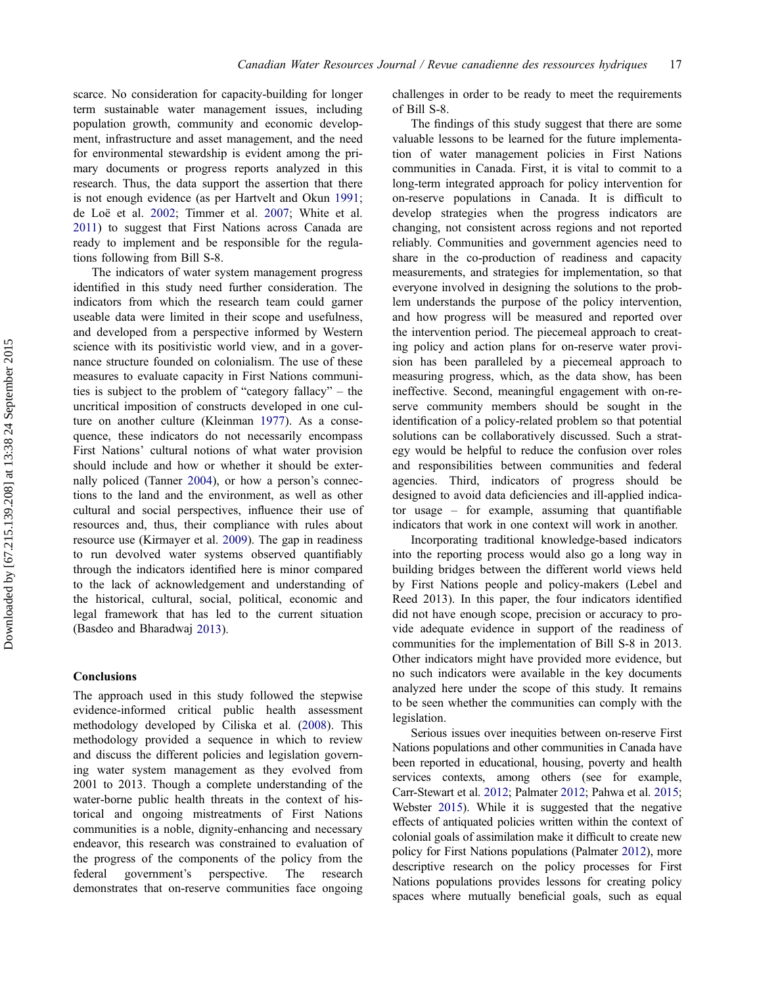scarce. No consideration for capacity-building for longer term sustainable water management issues, including population growth, community and economic development, infrastructure and asset management, and the need for environmental stewardship is evident among the primary documents or progress reports analyzed in this research. Thus, the data support the assertion that there is not enough evidence (as per Hartvelt and Okun [1991](#page-19-0); de Loë et al. [2002](#page-19-0); Timmer et al. [2007;](#page-21-0) White et al. [2011\)](#page-21-0) to suggest that First Nations across Canada are ready to implement and be responsible for the regulations following from Bill S-8.

The indicators of water system management progress identified in this study need further consideration. The indicators from which the research team could garner useable data were limited in their scope and usefulness, and developed from a perspective informed by Western science with its positivistic world view, and in a governance structure founded on colonialism. The use of these measures to evaluate capacity in First Nations communities is subject to the problem of "category fallacy" – the uncritical imposition of constructs developed in one culture on another culture (Kleinman [1977](#page-20-0)). As a consequence, these indicators do not necessarily encompass First Nations' cultural notions of what water provision should include and how or whether it should be externally policed (Tanner [2004](#page-21-0)), or how a person's connections to the land and the environment, as well as other cultural and social perspectives, influence their use of resources and, thus, their compliance with rules about resource use (Kirmayer et al. [2009](#page-20-0)). The gap in readiness to run devolved water systems observed quantifiably through the indicators identified here is minor compared to the lack of acknowledgement and understanding of the historical, cultural, social, political, economic and legal framework that has led to the current situation (Basdeo and Bharadwaj [2013\)](#page-18-0).

#### **Conclusions**

The approach used in this study followed the stepwise evidence-informed critical public health assessment methodology developed by Ciliska et al. [\(2008](#page-19-0)). This methodology provided a sequence in which to review and discuss the different policies and legislation governing water system management as they evolved from 2001 to 2013. Though a complete understanding of the water-borne public health threats in the context of historical and ongoing mistreatments of First Nations communities is a noble, dignity-enhancing and necessary endeavor, this research was constrained to evaluation of the progress of the components of the policy from the federal government's perspective. The research demonstrates that on-reserve communities face ongoing

challenges in order to be ready to meet the requirements of Bill S-8.

The findings of this study suggest that there are some valuable lessons to be learned for the future implementation of water management policies in First Nations communities in Canada. First, it is vital to commit to a long-term integrated approach for policy intervention for on-reserve populations in Canada. It is difficult to develop strategies when the progress indicators are changing, not consistent across regions and not reported reliably. Communities and government agencies need to share in the co-production of readiness and capacity measurements, and strategies for implementation, so that everyone involved in designing the solutions to the problem understands the purpose of the policy intervention, and how progress will be measured and reported over the intervention period. The piecemeal approach to creating policy and action plans for on-reserve water provision has been paralleled by a piecemeal approach to measuring progress, which, as the data show, has been ineffective. Second, meaningful engagement with on-reserve community members should be sought in the identification of a policy-related problem so that potential solutions can be collaboratively discussed. Such a strategy would be helpful to reduce the confusion over roles and responsibilities between communities and federal agencies. Third, indicators of progress should be designed to avoid data deficiencies and ill-applied indicator usage – for example, assuming that quantifiable indicators that work in one context will work in another.

Incorporating traditional knowledge-based indicators into the reporting process would also go a long way in building bridges between the different world views held by First Nations people and policy-makers (Lebel and Reed 2013). In this paper, the four indicators identified did not have enough scope, precision or accuracy to provide adequate evidence in support of the readiness of communities for the implementation of Bill S-8 in 2013. Other indicators might have provided more evidence, but no such indicators were available in the key documents analyzed here under the scope of this study. It remains to be seen whether the communities can comply with the legislation.

Serious issues over inequities between on-reserve First Nations populations and other communities in Canada have been reported in educational, housing, poverty and health services contexts, among others (see for example, Carr-Stewart et al. [2012](#page-19-0); Palmater [2012](#page-21-0); Pahwa et al. [2015](#page-21-0); Webster [2015\)](#page-21-0). While it is suggested that the negative effects of antiquated policies written within the context of colonial goals of assimilation make it difficult to create new policy for First Nations populations (Palmater [2012](#page-21-0)), more descriptive research on the policy processes for First Nations populations provides lessons for creating policy spaces where mutually beneficial goals, such as equal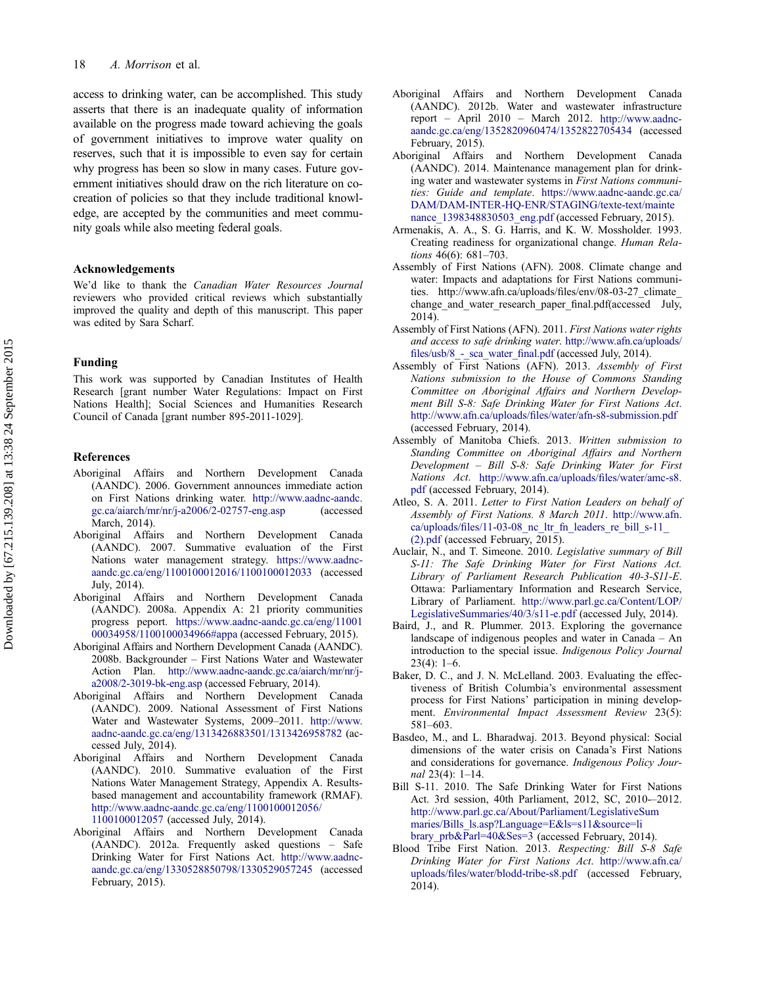<span id="page-18-0"></span>access to drinking water, can be accomplished. This study asserts that there is an inadequate quality of information available on the progress made toward achieving the goals of government initiatives to improve water quality on reserves, such that it is impossible to even say for certain why progress has been so slow in many cases. Future government initiatives should draw on the rich literature on cocreation of policies so that they include traditional knowledge, are accepted by the communities and meet community goals while also meeting federal goals.

#### Acknowledgements

We'd like to thank the Canadian Water Resources Journal reviewers who provided critical reviews which substantially improved the quality and depth of this manuscript. This paper was edited by Sara Scharf.

# Funding

This work was supported by Canadian Institutes of Health Research [grant number Water Regulations: Impact on First Nations Health]; Social Sciences and Humanities Research Council of Canada [grant number 895-2011-1029].

#### References

- Aboriginal Affairs and Northern Development Canada (AANDC). 2006. Government announces immediate action on First Nations drinking water. [http://www.aadnc-aandc.](http://www.aadnc-aandc.gc.ca/aiarch/mr/nr/j-a2006/2-02757-eng.asp) [gc.ca/aiarch/mr/nr/j-a2006/2-02757-eng.asp](http://www.aadnc-aandc.gc.ca/aiarch/mr/nr/j-a2006/2-02757-eng.asp) (accessed March, 2014).
- Aboriginal Affairs and Northern Development Canada (AANDC). 2007. Summative evaluation of the First Nations water management strategy. [https://www.aadnc](https://www.aadnc-aandc.gc.ca/eng/1100100012016/1100100012033)[aandc.gc.ca/eng/1100100012016/1100100012033](https://www.aadnc-aandc.gc.ca/eng/1100100012016/1100100012033) (accessed July, 2014).
- Aboriginal Affairs and Northern Development Canada (AANDC). 2008a. Appendix A: 21 priority communities progress peport. [https://www.aadnc-aandc.gc.ca/eng/11001](https://www.aadnc-aandc.gc.ca/eng/1100100034958/1100100034966#appa) [00034958/1100100034966#appa](https://www.aadnc-aandc.gc.ca/eng/1100100034958/1100100034966#appa) (accessed February, 2015).
- Aboriginal Affairs and Northern Development Canada (AANDC). 2008b. Backgrounder – First Nations Water and Wastewater Action Plan. [http://www.aadnc-aandc.gc.ca/aiarch/mr/nr/j](http://www.aadnc-aandc.gc.ca/aiarch/mr/nr/j-a2008/2-3019-bk-eng.asp)[a2008/2-3019-bk-eng.asp](http://www.aadnc-aandc.gc.ca/aiarch/mr/nr/j-a2008/2-3019-bk-eng.asp) (accessed February, 2014).
- Aboriginal Affairs and Northern Development Canada (AANDC). 2009. National Assessment of First Nations Water and Wastewater Systems, 2009–2011. [http://www.](http://www.aadnc-aandc.gc.ca/eng/1313426883501/1313426958782) [aadnc-aandc.gc.ca/eng/1313426883501/1313426958782](http://www.aadnc-aandc.gc.ca/eng/1313426883501/1313426958782) (accessed July, 2014).
- Aboriginal Affairs and Northern Development Canada (AANDC). 2010. Summative evaluation of the First Nations Water Management Strategy, Appendix A. Resultsbased management and accountability framework (RMAF). [http://www.aadnc-aandc.gc.ca/eng/1100100012056/](http://www.aadnc-aandc.gc.ca/eng/1100100012056/1100100012057) [1100100012057](http://www.aadnc-aandc.gc.ca/eng/1100100012056/1100100012057) (accessed July, 2014).
- Aboriginal Affairs and Northern Development Canada (AANDC). 2012a. Frequently asked questions – Safe Drinking Water for First Nations Act. [http://www.aadnc](http://www.aadnc-aandc.gc.ca/eng/1330528850798/1330529057245)[aandc.gc.ca/eng/1330528850798/1330529057245](http://www.aadnc-aandc.gc.ca/eng/1330528850798/1330529057245) (accessed February, 2015).
- Aboriginal Affairs and Northern Development Canada (AANDC). 2012b. Water and wastewater infrastructure report – April 2010 – March 2012. [http://www.aadnc](http://www.aadnc-aandc.gc.ca/eng/1352820960474/1352822705434)[aandc.gc.ca/eng/1352820960474/1352822705434](http://www.aadnc-aandc.gc.ca/eng/1352820960474/1352822705434) (accessed February, 2015).
- Aboriginal Affairs and Northern Development Canada (AANDC). 2014. Maintenance management plan for drinking water and wastewater systems in First Nations communities: Guide and template. [https://www.aadnc-aandc.gc.ca/](https://www.aadnc-aandc.gc.ca/DAM/DAM-INTER-HQ-ENR/STAGING/texte-text/maintenance_1398348830503_eng.pdf) [DAM/DAM-INTER-HQ-ENR/STAGING/texte-text/mainte](https://www.aadnc-aandc.gc.ca/DAM/DAM-INTER-HQ-ENR/STAGING/texte-text/maintenance_1398348830503_eng.pdf) nance 1398348830503 eng.pdf (accessed February, 2015).
- Armenakis, A. A., S. G. Harris, and K. W. Mossholder. 1993. Creating readiness for organizational change. Human Relations 46(6): 681–703.
- Assembly of First Nations (AFN). 2008. Climate change and water: Impacts and adaptations for First Nations communities. http://www.afn.ca/uploads/files/env/08-03-27\_climate\_ change and water research paper final.pdf(accessed July, 2014).
- Assembly of First Nations (AFN). 2011. First Nations water rights and access to safe drinking water. [http://www.afn.ca/uploads/](http://www.afn.ca/uploads/files/usb/8_-_sca_water_final.pdf) files/usb/8 - sca\_water\_final.pdf (accessed July, 2014).
- Assembly of First Nations (AFN). 2013. Assembly of First Nations submission to the House of Commons Standing Committee on Aboriginal Affairs and Northern Development Bill S-8: Safe Drinking Water for First Nations Act. http://www.afn.ca/uploads/fi[les/water/afn-s8-submission.pdf](http://www.afn.ca/uploads/files/water/afn-s8-submission.pdf) (accessed February, 2014).
- Assembly of Manitoba Chiefs. 2013. Written submission to Standing Committee on Aboriginal Affairs and Northern Development – Bill S-8: Safe Drinking Water for First Nations Act. [http://www.afn.ca/uploads/](http://www.afn.ca/uploads/files/water/amc-s8.pdf)files/water/amc-s8. [pdf](http://www.afn.ca/uploads/files/water/amc-s8.pdf) (accessed February, 2014).
- Atleo, S. A. 2011. Letter to First Nation Leaders on behalf of Assembly of First Nations. 8 March 2011. [http://www.afn.](http://www.afn.ca/uploads/files/11-03-08_nc_ltr_fn_leaders_re_bill_s-11_(2).pdf) ca/uploads/fi[les/11-03-08\\_nc\\_ltr\\_fn\\_leaders\\_re\\_bill\\_s-11\\_](http://www.afn.ca/uploads/files/11-03-08_nc_ltr_fn_leaders_re_bill_s-11_(2).pdf) [\(2\).pdf](http://www.afn.ca/uploads/files/11-03-08_nc_ltr_fn_leaders_re_bill_s-11_(2).pdf) (accessed February, 2015).
- Auclair, N., and T. Simeone. 2010. Legislative summary of Bill S-11: The Safe Drinking Water for First Nations Act. Library of Parliament Research Publication 40-3-S11-E. Ottawa: Parliamentary Information and Research Service, Library of Parliament. [http://www.parl.gc.ca/Content/LOP/](http://www.parl.gc.ca/Content/LOP/LegislativeSummaries/40/3/s11-e.pdf) [LegislativeSummaries/40/3/s11-e.pdf](http://www.parl.gc.ca/Content/LOP/LegislativeSummaries/40/3/s11-e.pdf) (accessed July, 2014).
- Baird, J., and R. Plummer. 2013. Exploring the governance landscape of indigenous peoples and water in Canada – An introduction to the special issue. Indigenous Policy Journal 23(4): 1–6.
- Baker, D. C., and J. N. McLelland. 2003. Evaluating the effectiveness of British Columbia's environmental assessment process for First Nations' participation in mining development. Environmental Impact Assessment Review 23(5): 581–603.
- Basdeo, M., and L. Bharadwaj. 2013. Beyond physical: Social dimensions of the water crisis on Canada's First Nations and considerations for governance. Indigenous Policy Journal 23(4): 1–14.
- Bill S-11. 2010. The Safe Drinking Water for First Nations Act. 3rd session, 40th Parliament, 2012, SC, 2010-–2012. [http://www.parl.gc.ca/About/Parliament/LegislativeSum](http://www.parl.gc.ca/About/Parliament/LegislativeSummaries/Bills_ls.asp?Language=E&ls=s11&source=library_prb&Parl=40&Ses=3) [maries/Bills\\_ls.asp?Language=E&ls=s11&source=li](http://www.parl.gc.ca/About/Parliament/LegislativeSummaries/Bills_ls.asp?Language=E&ls=s11&source=library_prb&Parl=40&Ses=3) [brary\\_prb&Parl=40&Ses=3](http://www.parl.gc.ca/About/Parliament/LegislativeSummaries/Bills_ls.asp?Language=E&ls=s11&source=library_prb&Parl=40&Ses=3) (accessed February, 2014).
- Blood Tribe First Nation. 2013. Respecting: Bill S-8 Safe Drinking Water for First Nations Act. [http://www.afn.ca/](http://www.afn.ca/uploads/files/water/blodd-tribe-s8.pdf) uploads/fi[les/water/blodd-tribe-s8.pdf](http://www.afn.ca/uploads/files/water/blodd-tribe-s8.pdf) (accessed February, 2014).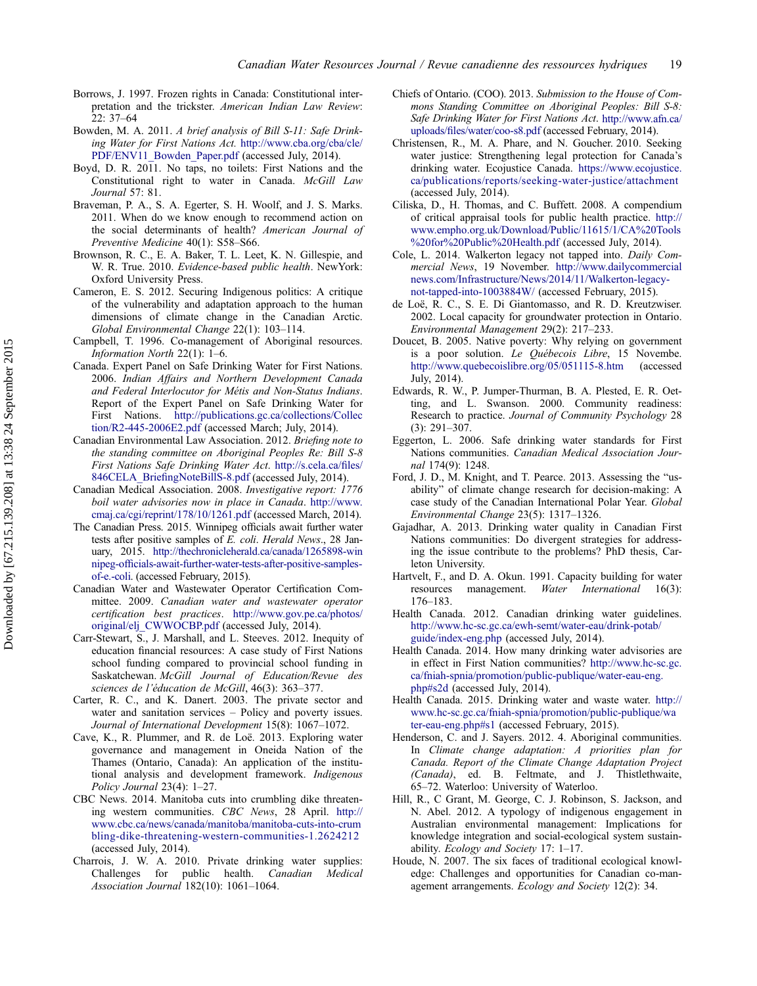- <span id="page-19-0"></span>Borrows, J. 1997. Frozen rights in Canada: Constitutional interpretation and the trickster. American Indian Law Review: 22: 37–64
- Bowden, M. A. 2011. A brief analysis of Bill S-11: Safe Drinking Water for First Nations Act. [http://www.cba.org/cba/cle/](http://www.cba.org/cba/cle/PDF/ENV11_Bowden_Paper.pdf) [PDF/ENV11\\_Bowden\\_Paper.pdf](http://www.cba.org/cba/cle/PDF/ENV11_Bowden_Paper.pdf) (accessed July, 2014).
- Boyd, D. R. 2011. No taps, no toilets: First Nations and the Constitutional right to water in Canada. McGill Law Journal 57: 81.
- Braveman, P. A., S. A. Egerter, S. H. Woolf, and J. S. Marks. 2011. When do we know enough to recommend action on the social determinants of health? American Journal of Preventive Medicine 40(1): S58–S66.
- Brownson, R. C., E. A. Baker, T. L. Leet, K. N. Gillespie, and W. R. True. 2010. Evidence-based public health. NewYork: Oxford University Press.
- Cameron, E. S. 2012. Securing Indigenous politics: A critique of the vulnerability and adaptation approach to the human dimensions of climate change in the Canadian Arctic. Global Environmental Change 22(1): 103–114.
- Campbell, T. 1996. Co-management of Aboriginal resources. Information North 22(1): 1–6.
- Canada. Expert Panel on Safe Drinking Water for First Nations. 2006. Indian Affairs and Northern Development Canada and Federal Interlocutor for Métis and Non-Status Indians. Report of the Expert Panel on Safe Drinking Water for First Nations. [http://publications.gc.ca/collections/Collec](http://publications.gc.ca/collections/Collection/R2-445-2006E2.pdf)tions [tion/R2-445-2006E2.pdf](http://publications.gc.ca/collections/Collection/R2-445-2006E2.pdf) (accessed March; July, 2014).
- Canadian Environmental Law Association. 2012. Briefing note to the standing committee on Aboriginal Peoples Re: Bill S-8 First Nations Safe Drinking Water Act. [http://s.cela.ca/](http://s.cela.ca/files/846CELA_BriefingNoteBillS-8.pdf)files/ 846CELA\_Briefi[ngNoteBillS-8.pdf](http://s.cela.ca/files/846CELA_BriefingNoteBillS-8.pdf) (accessed July, 2014).
- Canadian Medical Association. 2008. Investigative report: 1776 boil water advisories now in place in Canada. [http://www.](http://www.cmaj.ca/cgi/reprint/178/10/1261.pdf) [cmaj.ca/cgi/reprint/178/10/1261.pdf](http://www.cmaj.ca/cgi/reprint/178/10/1261.pdf) (accessed March, 2014).
- The Canadian Press. 2015. Winnipeg officials await further water tests after positive samples of E. coli. Herald News., 28 January, 2015. [http://thechronicleherald.ca/canada/1265898-win](http://thechronicleherald.ca/canada/1265898-winnipeg-officials-await-further-water-tests-after-positive-samples-of-e.-coli) nipeg-offi[cials-await-further-water-tests-after-positive-samples](http://thechronicleherald.ca/canada/1265898-winnipeg-officials-await-further-water-tests-after-positive-samples-of-e.-coli)[of-e.-coli](http://thechronicleherald.ca/canada/1265898-winnipeg-officials-await-further-water-tests-after-positive-samples-of-e.-coli). (accessed February, 2015).
- Canadian Water and Wastewater Operator Certification Committee. 2009. Canadian water and wastewater operator certification best practices. [http://www.gov.pe.ca/photos/](http://www.gov.pe.ca/photos/original/elj_CWWOCBP.pdf) [original/elj\\_CWWOCBP.pdf](http://www.gov.pe.ca/photos/original/elj_CWWOCBP.pdf) (accessed July, 2014).
- Carr-Stewart, S., J. Marshall, and L. Steeves. 2012. Inequity of education financial resources: A case study of First Nations school funding compared to provincial school funding in Saskatchewan. McGill Journal of Education/Revue des sciences de l'éducation de McGill, 46(3): 363–377.
- Carter, R. C., and K. Danert. 2003. The private sector and water and sanitation services – Policy and poverty issues. Journal of International Development 15(8): 1067–1072.
- Cave, K., R. Plummer, and R. de Loë. 2013. Exploring water governance and management in Oneida Nation of the Thames (Ontario, Canada): An application of the institutional analysis and development framework. Indigenous Policy Journal 23(4): 1–27.
- CBC News. 2014. Manitoba cuts into crumbling dike threatening western communities. CBC News, 28 April. [http://](http://www.cbc.ca/news/canada/manitoba/manitoba-cuts-into-crumbling-dike-threatening-western-communities-1.2624212) [www.cbc.ca/news/canada/manitoba/manitoba-cuts-into-crum](http://www.cbc.ca/news/canada/manitoba/manitoba-cuts-into-crumbling-dike-threatening-western-communities-1.2624212) [bling-dike-threatening-western-communities-1.2624212](http://www.cbc.ca/news/canada/manitoba/manitoba-cuts-into-crumbling-dike-threatening-western-communities-1.2624212) (accessed July, 2014).
- Charrois, J. W. A. 2010. Private drinking water supplies: Challenges for public health. Canadian Medical Association Journal 182(10): 1061–1064.
- Chiefs of Ontario. (COO). 2013. Submission to the House of Commons Standing Committee on Aboriginal Peoples: Bill S-8: Safe Drinking Water for First Nations Act. [http://www.afn.ca/](http://www.afn.ca/uploads/files/water/coo-s8.pdf) uploads/fi[les/water/coo-s8.pdf](http://www.afn.ca/uploads/files/water/coo-s8.pdf) (accessed February, 2014).
- Christensen, R., M. A. Phare, and N. Goucher. 2010. Seeking water justice: Strengthening legal protection for Canada's drinking water. Ecojustice Canada. [https://www.ecojustice.](https://www.ecojustice.ca/publications/reports/seeking-water-justice/attachment) [ca/publications/reports/seeking-water-justice/attachment](https://www.ecojustice.ca/publications/reports/seeking-water-justice/attachment) (accessed July, 2014).
- Ciliska, D., H. Thomas, and C. Buffett. 2008. A compendium of critical appraisal tools for public health practice. [http://](http://www.empho.org.uk/Download/Public/11615/1/CA%20Tools%20for%20Public%20Health.pdf) [www.empho.org.uk/Download/Public/11615/1/CA%20Tools](http://www.empho.org.uk/Download/Public/11615/1/CA%20Tools%20for%20Public%20Health.pdf) [%20for%20Public%20Health.pdf](http://www.empho.org.uk/Download/Public/11615/1/CA%20Tools%20for%20Public%20Health.pdf) (accessed July, 2014).
- Cole, L. 2014. Walkerton legacy not tapped into. Daily Commercial News, 19 November. [http://www.dailycommercial](http://www.dailycommercialnews.com/Infrastructure/News/2014/11/Walkerton-legacy-not-tapped-into-1003884W/) [news.com/Infrastructure/News/2014/11/Walkerton-legacy](http://www.dailycommercialnews.com/Infrastructure/News/2014/11/Walkerton-legacy-not-tapped-into-1003884W/)[not-tapped-into-1003884W/](http://www.dailycommercialnews.com/Infrastructure/News/2014/11/Walkerton-legacy-not-tapped-into-1003884W/) (accessed February, 2015).
- de Loë, R. C., S. E. Di Giantomasso, and R. D. Kreutzwiser. 2002. Local capacity for groundwater protection in Ontario. Environmental Management 29(2): 217–233.
- Doucet, B. 2005. Native poverty: Why relying on government is a poor solution. Le Québecois Libre, 15 Novembe. <http://www.quebecoislibre.org/05/051115-8.htm> (accessed July, 2014).
- Edwards, R. W., P. Jumper-Thurman, B. A. Plested, E. R. Oetting, and L. Swanson. 2000. Community readiness: Research to practice. Journal of Community Psychology 28 (3): 291–307.
- Eggerton, L. 2006. Safe drinking water standards for First Nations communities. Canadian Medical Association Journal 174(9): 1248.
- Ford, J. D., M. Knight, and T. Pearce. 2013. Assessing the "usability" of climate change research for decision-making: A case study of the Canadian International Polar Year. Global Environmental Change 23(5): 1317–1326.
- Gajadhar, A. 2013. Drinking water quality in Canadian First Nations communities: Do divergent strategies for addressing the issue contribute to the problems? PhD thesis, Carleton University.
- Hartvelt, F., and D. A. Okun. 1991. Capacity building for water resources management. Water International 16(3): 176–183.
- Health Canada. 2012. Canadian drinking water guidelines. [http://www.hc-sc.gc.ca/ewh-semt/water-eau/drink-potab/](http://www.hc-sc.gc.ca/ewh-semt/water-eau/drink-potab/guide/index-eng.php) [guide/index-eng.php](http://www.hc-sc.gc.ca/ewh-semt/water-eau/drink-potab/guide/index-eng.php) (accessed July, 2014).
- Health Canada. 2014. How many drinking water advisories are in effect in First Nation communities? [http://www.hc-sc.gc.](http://www.hc-sc.gc.ca/fniah-spnia/promotion/public-publique/water-eau-eng.php#s2d) [ca/fniah-spnia/promotion/public-publique/water-eau-eng.](http://www.hc-sc.gc.ca/fniah-spnia/promotion/public-publique/water-eau-eng.php#s2d) [php#s2d](http://www.hc-sc.gc.ca/fniah-spnia/promotion/public-publique/water-eau-eng.php#s2d) (accessed July, 2014).
- Health Canada. 2015. Drinking water and waste water. [http://](http://www.hc-sc.gc.ca/fniah-spnia/promotion/public-publique/water-eau-eng.php#s1) [www.hc-sc.gc.ca/fniah-spnia/promotion/public-publique/wa](http://www.hc-sc.gc.ca/fniah-spnia/promotion/public-publique/water-eau-eng.php#s1) [ter-eau-eng.php#s1](http://www.hc-sc.gc.ca/fniah-spnia/promotion/public-publique/water-eau-eng.php#s1) (accessed February, 2015).
- Henderson, C. and J. Sayers. 2012. 4. Aboriginal communities. In Climate change adaptation: A priorities plan for Canada. Report of the Climate Change Adaptation Project (Canada), ed. B. Feltmate, and J. Thistlethwaite, 65–72. Waterloo: University of Waterloo.
- Hill, R., C Grant, M. George, C. J. Robinson, S. Jackson, and N. Abel. 2012. A typology of indigenous engagement in Australian environmental management: Implications for knowledge integration and social-ecological system sustainability. Ecology and Society 17: 1–17.
- Houde, N. 2007. The six faces of traditional ecological knowledge: Challenges and opportunities for Canadian co-management arrangements. Ecology and Society 12(2): 34.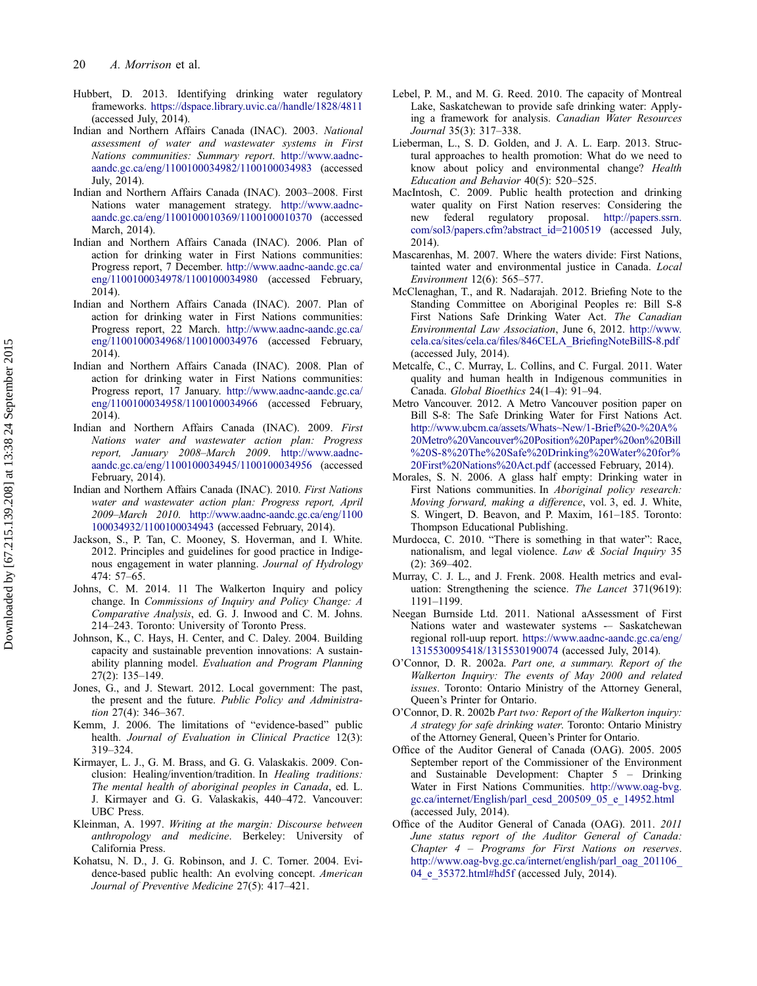- <span id="page-20-0"></span>Hubbert, D. 2013. Identifying drinking water regulatory frameworks. <https://dspace.library.uvic.ca//handle/1828/4811> (accessed July, 2014).
- Indian and Northern Affairs Canada (INAC). 2003. National assessment of water and wastewater systems in First Nations communities: Summary report. [http://www.aadnc](http://www.aadnc-aandc.gc.ca/eng/1100100034982/1100100034983)[aandc.gc.ca/eng/1100100034982/1100100034983](http://www.aadnc-aandc.gc.ca/eng/1100100034982/1100100034983) (accessed July, 2014).
- Indian and Northern Affairs Canada (INAC). 2003–2008. First Nations water management strategy. [http://www.aadnc](http://www.aadnc-aandc.gc.ca/eng/1100100010369/1100100010370)[aandc.gc.ca/eng/1100100010369/1100100010370](http://www.aadnc-aandc.gc.ca/eng/1100100010369/1100100010370) (accessed March, 2014).
- Indian and Northern Affairs Canada (INAC). 2006. Plan of action for drinking water in First Nations communities: Progress report, 7 December. [http://www.aadnc-aandc.gc.ca/](http://www.aadnc-aandc.gc.ca/eng/1100100034978/1100100034980) [eng/1100100034978/1100100034980](http://www.aadnc-aandc.gc.ca/eng/1100100034978/1100100034980) (accessed February, 2014).
- Indian and Northern Affairs Canada (INAC). 2007. Plan of action for drinking water in First Nations communities: Progress report, 22 March. [http://www.aadnc-aandc.gc.ca/](http://www.aadnc-aandc.gc.ca/eng/1100100034968/1100100034976) [eng/1100100034968/1100100034976](http://www.aadnc-aandc.gc.ca/eng/1100100034968/1100100034976) (accessed February, 2014).
- Indian and Northern Affairs Canada (INAC). 2008. Plan of action for drinking water in First Nations communities: Progress report, 17 January. [http://www.aadnc-aandc.gc.ca/](http://www.aadnc-aandc.gc.ca/eng/1100100034958/1100100034966) [eng/1100100034958/1100100034966](http://www.aadnc-aandc.gc.ca/eng/1100100034958/1100100034966) (accessed February, 2014).
- Indian and Northern Affairs Canada (INAC). 2009. First Nations water and wastewater action plan: Progress report, January 2008–March 2009. [http://www.aadnc](http://www.aadnc-aandc.gc.ca/eng/1100100034945/1100100034956)[aandc.gc.ca/eng/1100100034945/1100100034956](http://www.aadnc-aandc.gc.ca/eng/1100100034945/1100100034956) (accessed February, 2014).
- Indian and Northern Affairs Canada (INAC). 2010. First Nations water and wastewater action plan: Progress report, April 2009–March 2010. [http://www.aadnc-aandc.gc.ca/eng/1100](http://www.aadnc-aandc.gc.ca/eng/1100100034932/1100100034943) [100034932/1100100034943](http://www.aadnc-aandc.gc.ca/eng/1100100034932/1100100034943) (accessed February, 2014).
- Jackson, S., P. Tan, C. Mooney, S. Hoverman, and I. White. 2012. Principles and guidelines for good practice in Indigenous engagement in water planning. Journal of Hydrology 474: 57–65.
- Johns, C. M. 2014. 11 The Walkerton Inquiry and policy change. In Commissions of Inquiry and Policy Change: A Comparative Analysis, ed. G. J. Inwood and C. M. Johns. 214–243. Toronto: University of Toronto Press.
- Johnson, K., C. Hays, H. Center, and C. Daley. 2004. Building capacity and sustainable prevention innovations: A sustainability planning model. Evaluation and Program Planning 27(2): 135–149.
- Jones, G., and J. Stewart. 2012. Local government: The past, the present and the future. Public Policy and Administration 27(4): 346–367.
- Kemm, J. 2006. The limitations of "evidence-based" public health. Journal of Evaluation in Clinical Practice 12(3): 319–324.
- Kirmayer, L. J., G. M. Brass, and G. G. Valaskakis. 2009. Conclusion: Healing/invention/tradition. In Healing traditions: The mental health of aboriginal peoples in Canada, ed. L. J. Kirmayer and G. G. Valaskakis, 440–472. Vancouver: UBC Press.
- Kleinman, A. 1997. Writing at the margin: Discourse between anthropology and medicine. Berkeley: University of California Press.
- Kohatsu, N. D., J. G. Robinson, and J. C. Torner. 2004. Evidence-based public health: An evolving concept. American Journal of Preventive Medicine 27(5): 417–421.
- Lebel, P. M., and M. G. Reed. 2010. The capacity of Montreal Lake, Saskatchewan to provide safe drinking water: Applying a framework for analysis. Canadian Water Resources Journal 35(3): 317–338.
- Lieberman, L., S. D. Golden, and J. A. L. Earp. 2013. Structural approaches to health promotion: What do we need to know about policy and environmental change? Health Education and Behavior 40(5): 520–525.
- MacIntosh, C. 2009. Public health protection and drinking water quality on First Nation reserves: Considering the new federal regulatory proposal. [http://papers.ssrn.](http://papers.ssrn.com/sol3/papers.cfm?abstract_id=2100519) [com/sol3/papers.cfm?abstract\\_id=2100519](http://papers.ssrn.com/sol3/papers.cfm?abstract_id=2100519) (accessed July, 2014).
- Mascarenhas, M. 2007. Where the waters divide: First Nations, tainted water and environmental justice in Canada. Local Environment 12(6): 565–577.
- McClenaghan, T., and R. Nadarajah. 2012. Briefing Note to the Standing Committee on Aboriginal Peoples re: Bill S-8 First Nations Safe Drinking Water Act. The Canadian Environmental Law Association, June 6, 2012. [http://www.](http://www.cela.ca/sites/cela.ca/files/846CELA_BriefingNoteBillS-8.pdf) [cela.ca/sites/cela.ca/](http://www.cela.ca/sites/cela.ca/files/846CELA_BriefingNoteBillS-8.pdf)files/846CELA\_BriefingNoteBillS-8.pdf (accessed July, 2014).
- Metcalfe, C., C. Murray, L. Collins, and C. Furgal. 2011. Water quality and human health in Indigenous communities in Canada. Global Bioethics 24(1–4): 91–94.
- Metro Vancouver. 2012. A Metro Vancouver position paper on Bill S-8: The Safe Drinking Water for First Nations Act. [http://www.ubcm.ca/assets/Whats~New/1-Brief%20-%20A%](http://www.ubcm.ca/assets/Whats~New/1-Brief%20-%20A%20Metro%20Vancouver%20Position%20Paper%20on%20Bill%20S-8%20The%20Safe%20Drinking%20Water%20for%20First%20Nations%20Act.pdf) [20Metro%20Vancouver%20Position%20Paper%20on%20Bill](http://www.ubcm.ca/assets/Whats~New/1-Brief%20-%20A%20Metro%20Vancouver%20Position%20Paper%20on%20Bill%20S-8%20The%20Safe%20Drinking%20Water%20for%20First%20Nations%20Act.pdf) [%20S-8%20The%20Safe%20Drinking%20Water%20for%](http://www.ubcm.ca/assets/Whats~New/1-Brief%20-%20A%20Metro%20Vancouver%20Position%20Paper%20on%20Bill%20S-8%20The%20Safe%20Drinking%20Water%20for%20First%20Nations%20Act.pdf) [20First%20Nations%20Act.pdf](http://www.ubcm.ca/assets/Whats~New/1-Brief%20-%20A%20Metro%20Vancouver%20Position%20Paper%20on%20Bill%20S-8%20The%20Safe%20Drinking%20Water%20for%20First%20Nations%20Act.pdf) (accessed February, 2014).
- Morales, S. N. 2006. A glass half empty: Drinking water in First Nations communities. In Aboriginal policy research: Moving forward, making a difference, vol. 3, ed. J. White, S. Wingert, D. Beavon, and P. Maxim, 161–185. Toronto: Thompson Educational Publishing.
- Murdocca, C. 2010. "There is something in that water": Race, nationalism, and legal violence. Law & Social Inquiry 35 (2): 369–402.
- Murray, C. J. L., and J. Frenk. 2008. Health metrics and evaluation: Strengthening the science. The Lancet 371(9619): 1191–1199.
- Neegan Burnside Ltd. 2011. National aAssessment of First Nations water and wastewater systems -- Saskatchewan regional roll-uup report. [https://www.aadnc-aandc.gc.ca/eng/](https://www.aadnc-aandc.gc.ca/eng/1315530095418/1315530190074) [1315530095418/1315530190074](https://www.aadnc-aandc.gc.ca/eng/1315530095418/1315530190074) (accessed July, 2014).
- O'Connor, D. R. 2002a. Part one, a summary. Report of the Walkerton Inquiry: The events of May 2000 and related issues. Toronto: Ontario Ministry of the Attorney General, Queen's Printer for Ontario.
- O'Connor, D. R. 2002b Part two: Report of the Walkerton inquiry: A strategy for safe drinking water. Toronto: Ontario Ministry of the Attorney General, Queen's Printer for Ontario.
- Office of the Auditor General of Canada (OAG). 2005. 2005 September report of the Commissioner of the Environment and Sustainable Development: Chapter 5 – Drinking Water in First Nations Communities. [http://www.oag-bvg.](http://www.oag-bvg.gc.ca/internet/English/parl_cesd_200509_05_e_14952.html) [gc.ca/internet/English/parl\\_cesd\\_200509\\_05\\_e\\_14952.html](http://www.oag-bvg.gc.ca/internet/English/parl_cesd_200509_05_e_14952.html) (accessed July, 2014).
- Office of the Auditor General of Canada (OAG). 2011. 2011 June status report of the Auditor General of Canada: Chapter 4 – Programs for First Nations on reserves. [http://www.oag-bvg.gc.ca/internet/english/parl\\_oag\\_201106\\_](http://www.oag-bvg.gc.ca/internet/english/parl_oag_201106_04_e_35372.html#hd5f) 04 e 35372.html#hd5f (accessed July, 2014).